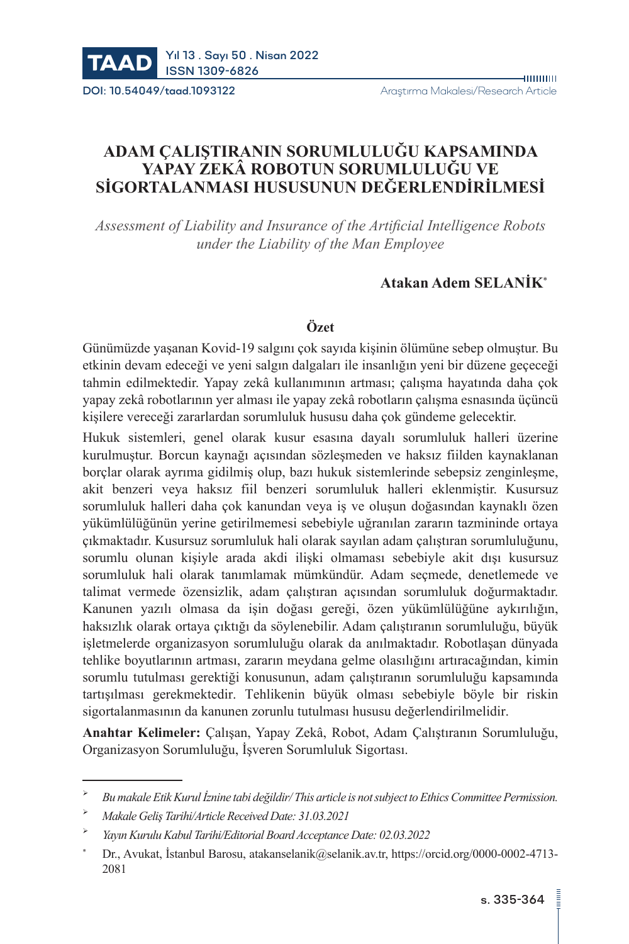

# **ADAM ÇALIŞTIRANIN SORUMLULUĞU KAPSAMINDA YAPAY ZEKÂ ROBOTUN SORUMLULUĞU VE SİGORTALANMASI HUSUSUNUN DEĞERLENDİRİLMESİ**

*Assessment of Liability and Insurance of the Artificial Intelligence Robots under the Liability of the Man Employee*

## **Atakan Adem SELANİK**\*

#### **Özet**

Günümüzde yaşanan Kovid-19 salgını çok sayıda kişinin ölümüne sebep olmuştur. Bu etkinin devam edeceği ve yeni salgın dalgaları ile insanlığın yeni bir düzene geçeceği tahmin edilmektedir. Yapay zekâ kullanımının artması; çalışma hayatında daha çok yapay zekâ robotlarının yer alması ile yapay zekâ robotların çalışma esnasında üçüncü kişilere vereceği zararlardan sorumluluk hususu daha çok gündeme gelecektir.

Hukuk sistemleri, genel olarak kusur esasına dayalı sorumluluk halleri üzerine kurulmuştur. Borcun kaynağı açısından sözleşmeden ve haksız fiilden kaynaklanan borçlar olarak ayrıma gidilmiş olup, bazı hukuk sistemlerinde sebepsiz zenginleşme, akit benzeri veya haksız fiil benzeri sorumluluk halleri eklenmiştir. Kusursuz sorumluluk halleri daha çok kanundan veya iş ve oluşun doğasından kaynaklı özen yükümlülüğünün yerine getirilmemesi sebebiyle uğranılan zararın tazmininde ortaya çıkmaktadır. Kusursuz sorumluluk hali olarak sayılan adam çalıştıran sorumluluğunu, sorumlu olunan kişiyle arada akdi ilişki olmaması sebebiyle akit dışı kusursuz sorumluluk hali olarak tanımlamak mümkündür. Adam seçmede, denetlemede ve talimat vermede özensizlik, adam çalıştıran açısından sorumluluk doğurmaktadır. Kanunen yazılı olmasa da işin doğası gereği, özen yükümlülüğüne aykırılığın, haksızlık olarak ortaya çıktığı da söylenebilir. Adam çalıştıranın sorumluluğu, büyük işletmelerde organizasyon sorumluluğu olarak da anılmaktadır. Robotlaşan dünyada tehlike boyutlarının artması, zararın meydana gelme olasılığını artıracağından, kimin sorumlu tutulması gerektiği konusunun, adam çalıştıranın sorumluluğu kapsamında tartışılması gerekmektedir. Tehlikenin büyük olması sebebiyle böyle bir riskin sigortalanmasının da kanunen zorunlu tutulması hususu değerlendirilmelidir.

**Anahtar Kelimeler:** Çalışan, Yapay Zekâ, Robot, Adam Çalıştıranın Sorumluluğu, Organizasyon Sorumluluğu, İşveren Sorumluluk Sigortası.

*Bu makale Etik Kurul İznine tabi değildir/ This article is not subject to Ethics Committee Permission.*

*Makale Geliş Tarihi/Article Received Date: 31.03.2021*

*Yayın Kurulu Kabul Tarihi/Editorial Board Acceptance Date: 02.03.2022*

Dr., Avukat, İstanbul Barosu, atakanselanik@selanik.av.tr, https://orcid.org/[0000-0002-4713-](https://orcid.org/0000-0003-4155-925X) 2081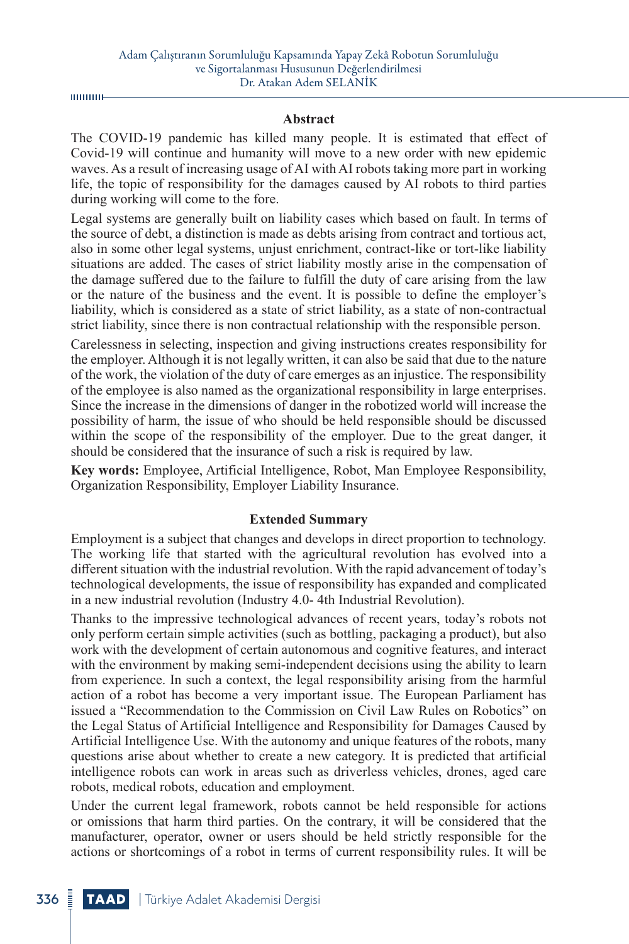шшшн

#### **Abstract**

The COVID-19 pandemic has killed many people. It is estimated that effect of Covid-19 will continue and humanity will move to a new order with new epidemic waves. As a result of increasing usage of AI with AI robots taking more part in working life, the topic of responsibility for the damages caused by AI robots to third parties during working will come to the fore.

Legal systems are generally built on liability cases which based on fault. In terms of the source of debt, a distinction is made as debts arising from contract and tortious act, also in some other legal systems, unjust enrichment, contract-like or tort-like liability situations are added. The cases of strict liability mostly arise in the compensation of the damage suffered due to the failure to fulfill the duty of care arising from the law or the nature of the business and the event. It is possible to define the employer's liability, which is considered as a state of strict liability, as a state of non-contractual strict liability, since there is non contractual relationship with the responsible person.

Carelessness in selecting, inspection and giving instructions creates responsibility for the employer. Although it is not legally written, it can also be said that due to the nature of the work, the violation of the duty of care emerges as an injustice. The responsibility of the employee is also named as the organizational responsibility in large enterprises. Since the increase in the dimensions of danger in the robotized world will increase the possibility of harm, the issue of who should be held responsible should be discussed within the scope of the responsibility of the employer. Due to the great danger, it should be considered that the insurance of such a risk is required by law.

**Key words:** Employee, Artificial Intelligence, Robot, Man Employee Responsibility, Organization Responsibility, Employer Liability Insurance.

#### **Extended Summary**

Employment is a subject that changes and develops in direct proportion to technology. The working life that started with the agricultural revolution has evolved into a different situation with the industrial revolution. With the rapid advancement of today's technological developments, the issue of responsibility has expanded and complicated in a new industrial revolution (Industry 4.0- 4th Industrial Revolution).

Thanks to the impressive technological advances of recent years, today's robots not only perform certain simple activities (such as bottling, packaging a product), but also work with the development of certain autonomous and cognitive features, and interact with the environment by making semi-independent decisions using the ability to learn from experience. In such a context, the legal responsibility arising from the harmful action of a robot has become a very important issue. The European Parliament has issued a "Recommendation to the Commission on Civil Law Rules on Robotics" on the Legal Status of Artificial Intelligence and Responsibility for Damages Caused by Artificial Intelligence Use. With the autonomy and unique features of the robots, many questions arise about whether to create a new category. It is predicted that artificial intelligence robots can work in areas such as driverless vehicles, drones, aged care robots, medical robots, education and employment.

Under the current legal framework, robots cannot be held responsible for actions or omissions that harm third parties. On the contrary, it will be considered that the manufacturer, operator, owner or users should be held strictly responsible for the actions or shortcomings of a robot in terms of current responsibility rules. It will be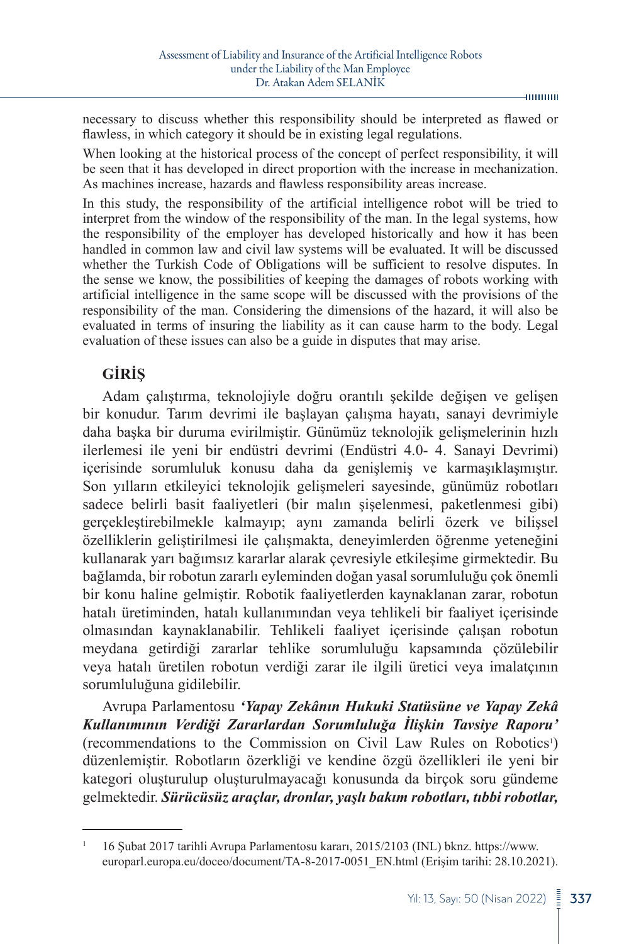necessary to discuss whether this responsibility should be interpreted as flawed or flawless, in which category it should be in existing legal regulations.

When looking at the historical process of the concept of perfect responsibility, it will be seen that it has developed in direct proportion with the increase in mechanization. As machines increase, hazards and flawless responsibility areas increase.

In this study, the responsibility of the artificial intelligence robot will be tried to interpret from the window of the responsibility of the man. In the legal systems, how the responsibility of the employer has developed historically and how it has been handled in common law and civil law systems will be evaluated. It will be discussed whether the Turkish Code of Obligations will be sufficient to resolve disputes. In the sense we know, the possibilities of keeping the damages of robots working with artificial intelligence in the same scope will be discussed with the provisions of the responsibility of the man. Considering the dimensions of the hazard, it will also be evaluated in terms of insuring the liability as it can cause harm to the body. Legal evaluation of these issues can also be a guide in disputes that may arise.

## **GİRİŞ**

Adam çalıştırma, teknolojiyle doğru orantılı şekilde değişen ve gelişen bir konudur. Tarım devrimi ile başlayan çalışma hayatı, sanayi devrimiyle daha başka bir duruma evirilmiştir. Günümüz teknolojik gelişmelerinin hızlı ilerlemesi ile yeni bir endüstri devrimi (Endüstri 4.0- 4. Sanayi Devrimi) içerisinde sorumluluk konusu daha da genişlemiş ve karmaşıklaşmıştır. Son yılların etkileyici teknolojik gelişmeleri sayesinde, günümüz robotları sadece belirli basit faaliyetleri (bir malın şişelenmesi, paketlenmesi gibi) gerçekleştirebilmekle kalmayıp; aynı zamanda belirli özerk ve bilişsel özelliklerin geliştirilmesi ile çalışmakta, deneyimlerden öğrenme yeteneğini kullanarak yarı bağımsız kararlar alarak çevresiyle etkileşime girmektedir. Bu bağlamda, bir robotun zararlı eyleminden doğan yasal sorumluluğu çok önemli bir konu haline gelmiştir. Robotik faaliyetlerden kaynaklanan zarar, robotun hatalı üretiminden, hatalı kullanımından veya tehlikeli bir faaliyet içerisinde olmasından kaynaklanabilir. Tehlikeli faaliyet içerisinde çalışan robotun meydana getirdiği zararlar tehlike sorumluluğu kapsamında çözülebilir veya hatalı üretilen robotun verdiği zarar ile ilgili üretici veya imalatçının sorumluluğuna gidilebilir.

Avrupa Parlamentosu *'Yapay Zekânın Hukuki Statüsüne ve Yapay Zekâ Kullanımının Verdiği Zararlardan Sorumluluğa İlişkin Tavsiye Raporu'* (recommendations to the Commission on Civil Law Rules on Robotics<sup>1</sup>) düzenlemiştir. Robotların özerkliği ve kendine özgü özellikleri ile yeni bir kategori oluşturulup oluşturulmayacağı konusunda da birçok soru gündeme gelmektedir. *Sürücüsüz araçlar, dronlar, yaşlı bakım robotları, tıbbi robotlar,* 

<sup>1</sup> 16 Şubat 2017 tarihli Avrupa Parlamentosu kararı, [2015/2103 \(INL\)](https://oeil.secure.europarl.europa.eu/oeil/popups/ficheprocedure.do?lang=en&reference=2015/2103(INL)) bknz. [https://www.](https://www.europarl.europa.eu/doceo/document/TA-8-2017-0051_EN.html) [europarl.europa.eu/doceo/document/TA-8-2017-0051\\_EN.html](https://www.europarl.europa.eu/doceo/document/TA-8-2017-0051_EN.html) (Erişim tarihi: 28.10.2021).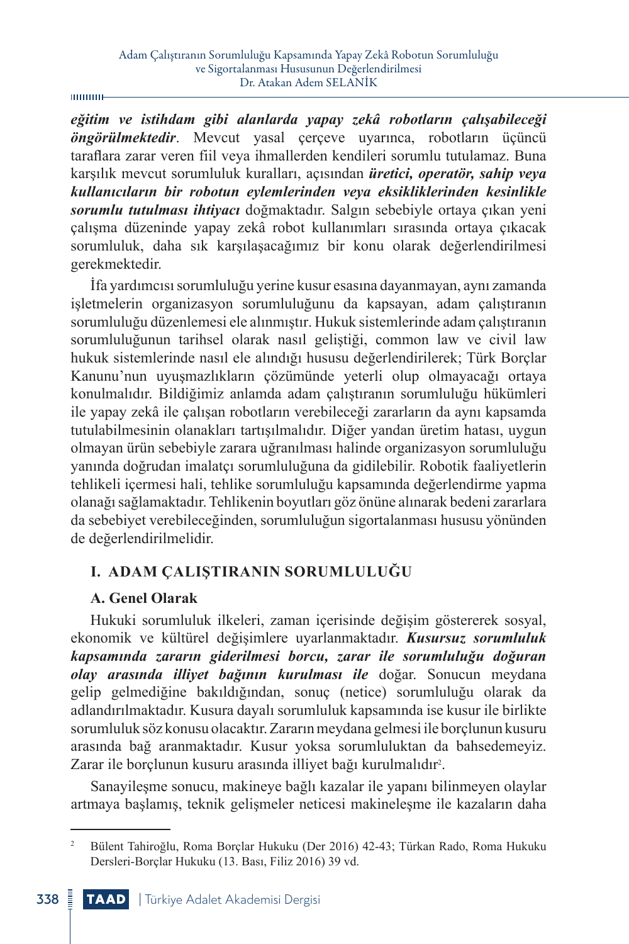#### **munu**-

*eğitim ve istihdam gibi alanlarda yapay zekâ robotların çalışabileceği öngörülmektedir*. Mevcut yasal çerçeve uyarınca, robotların üçüncü taraflara zarar veren fiil veya ihmallerden kendileri sorumlu tutulamaz. Buna karşılık mevcut sorumluluk kuralları, açısından *üretici, operatör, sahip veya kullanıcıların bir robotun eylemlerinden veya eksikliklerinden kesinlikle sorumlu tutulması ihtiyacı* doğmaktadır. Salgın sebebiyle ortaya çıkan yeni çalışma düzeninde yapay zekâ robot kullanımları sırasında ortaya çıkacak sorumluluk, daha sık karşılaşacağımız bir konu olarak değerlendirilmesi gerekmektedir.

İfa yardımcısı sorumluluğu yerine kusur esasına dayanmayan, aynı zamanda işletmelerin organizasyon sorumluluğunu da kapsayan, adam çalıştıranın sorumluluğu düzenlemesi ele alınmıştır. Hukuk sistemlerinde adam çalıştıranın sorumluluğunun tarihsel olarak nasıl geliştiği, common law ve civil law hukuk sistemlerinde nasıl ele alındığı hususu değerlendirilerek; Türk Borçlar Kanunu'nun uyuşmazlıkların çözümünde yeterli olup olmayacağı ortaya konulmalıdır. Bildiğimiz anlamda adam çalıştıranın sorumluluğu hükümleri ile yapay zekâ ile çalışan robotların verebileceği zararların da aynı kapsamda tutulabilmesinin olanakları tartışılmalıdır. Diğer yandan üretim hatası, uygun olmayan ürün sebebiyle zarara uğranılması halinde organizasyon sorumluluğu yanında doğrudan imalatçı sorumluluğuna da gidilebilir. Robotik faaliyetlerin tehlikeli içermesi hali, tehlike sorumluluğu kapsamında değerlendirme yapma olanağı sağlamaktadır. Tehlikenin boyutları göz önüne alınarak bedeni zararlara da sebebiyet verebileceğinden, sorumluluğun sigortalanması hususu yönünden de değerlendirilmelidir.

## **I. ADAM ÇALIŞTIRANIN SORUMLULUĞU**

#### **A. Genel Olarak**

Hukuki sorumluluk ilkeleri, zaman içerisinde değişim göstererek sosyal, ekonomik ve kültürel değişimlere uyarlanmaktadır. *Kusursuz sorumluluk kapsamında zararın giderilmesi borcu, zarar ile sorumluluğu doğuran olay arasında illiyet bağının kurulması ile* doğar. Sonucun meydana gelip gelmediğine bakıldığından, sonuç (netice) sorumluluğu olarak da adlandırılmaktadır. Kusura dayalı sorumluluk kapsamında ise kusur ile birlikte sorumluluk söz konusu olacaktır. Zararın meydana gelmesi ile borçlunun kusuru arasında bağ aranmaktadır. Kusur yoksa sorumluluktan da bahsedemeyiz. Zarar ile borçlunun kusuru arasında illiyet bağı kurulmalıdır<sup>2</sup>.

Sanayileşme sonucu, makineye bağlı kazalar ile yapanı bilinmeyen olaylar artmaya başlamış, teknik gelişmeler neticesi makineleşme ile kazaların daha

<sup>2</sup> Bülent Tahiroğlu, Roma Borçlar Hukuku (Der 2016) 42-43; Türkan Rado, Roma Hukuku Dersleri-Borçlar Hukuku (13. Bası, Filiz 2016) 39 vd.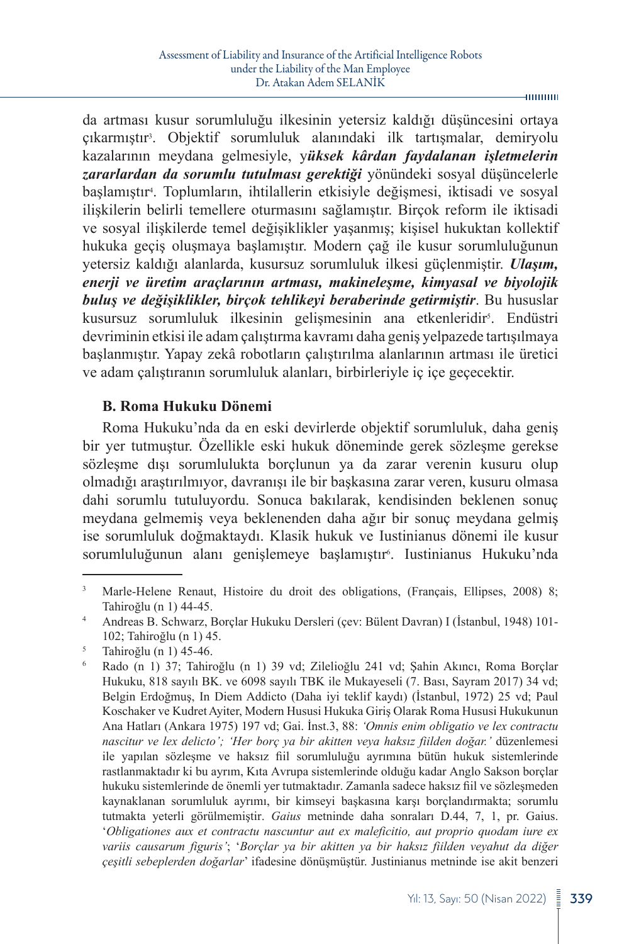da artması kusur sorumluluğu ilkesinin yetersiz kaldığı düşüncesini ortaya çıkarmıştır<sup>3</sup> . Objektif sorumluluk alanındaki ilk tartışmalar, demiryolu kazalarının meydana gelmesiyle, y*üksek kârdan faydalanan işletmelerin zararlardan da sorumlu tutulması gerektiği* yönündeki sosyal düşüncelerle başlamıştır<sup>4</sup> . Toplumların, ihtilallerin etkisiyle değişmesi, iktisadi ve sosyal ilişkilerin belirli temellere oturmasını sağlamıştır. Birçok reform ile iktisadi ve sosyal ilişkilerde temel değişiklikler yaşanmış; kişisel hukuktan kollektif hukuka geçiş oluşmaya başlamıştır. Modern çağ ile kusur sorumluluğunun yetersiz kaldığı alanlarda, kusursuz sorumluluk ilkesi güçlenmiştir. *Ulaşım, enerji ve üretim araçlarının artması, makineleşme, kimyasal ve biyolojik buluş ve değişiklikler, birçok tehlikeyi beraberinde getirmiştir*. Bu hususlar kusursuz sorumluluk ilkesinin gelişmesinin ana etkenleridir<sup>s</sup>. Endüstri devriminin etkisi ile adam çalıştırma kavramı daha geniş yelpazede tartışılmaya başlanmıştır. Yapay zekâ robotların çalıştırılma alanlarının artması ile üretici ve adam çalıştıranın sorumluluk alanları, birbirleriyle iç içe geçecektir.

#### **B. Roma Hukuku Dönemi**

Roma Hukuku'nda da en eski devirlerde objektif sorumluluk, daha geniş bir yer tutmuştur. Özellikle eski hukuk döneminde gerek sözleşme gerekse sözleşme dışı sorumlulukta borçlunun ya da zarar verenin kusuru olup olmadığı araştırılmıyor, davranışı ile bir başkasına zarar veren, kusuru olmasa dahi sorumlu tutuluyordu. Sonuca bakılarak, kendisinden beklenen sonuç meydana gelmemiş veya beklenenden daha ağır bir sonuç meydana gelmiş ise sorumluluk doğmaktaydı. Klasik hukuk ve Iustinianus dönemi ile kusur sorumluluğunun alanı genişlemeye başlamıştır<sup>s</sup>. Iustinianus Hukuku'nda

 $-$ 000000

<sup>&</sup>lt;sup>3</sup> Marle-Helene Renaut, Histoire du droit des obligations, (Français, Ellipses, 2008) 8; Tahiroğlu (n 1) 44-45.

<sup>4</sup> Andreas B. Schwarz, Borçlar Hukuku Dersleri (çev: Bülent Davran) I (İstanbul, 1948) 101- 102; Tahiroğlu (n 1) 45.

<sup>5</sup> Tahiroğlu (n 1) 45-46.

<sup>6</sup> Rado (n 1) 37; Tahiroğlu (n 1) 39 vd; Zilelioğlu 241 vd; Şahin Akıncı, Roma Borçlar Hukuku, 818 sayılı BK. ve 6098 sayılı TBK ile Mukayeseli (7. Bası, Sayram 2017) 34 vd; Belgin Erdoğmuş, In Diem Addicto (Daha iyi teklif kaydı) (İstanbul, 1972) 25 vd; Paul Koschaker ve Kudret Ayiter, Modern Hususi Hukuka Giriş Olarak Roma Hususi Hukukunun Ana Hatları (Ankara 1975) 197 vd; Gai. İnst.3, 88: *'Omnis enim obligatio ve lex contractu nascitur ve lex delicto'; 'Her borç ya bir akitten veya haksız fiilden doğar.'* düzenlemesi ile yapılan sözleşme ve haksız fiil sorumluluğu ayrımına bütün hukuk sistemlerinde rastlanmaktadır ki bu ayrım, Kıta Avrupa sistemlerinde olduğu kadar Anglo Sakson borçlar hukuku sistemlerinde de önemli yer tutmaktadır. Zamanla sadece haksız fiil ve sözleşmeden kaynaklanan sorumluluk ayrımı, bir kimseyi başkasına karşı borçlandırmakta; sorumlu tutmakta yeterli görülmemiştir. *Gaius* metninde daha sonraları D.44, 7, 1, pr. Gaius. '*Obligationes aux et contractu nascuntur aut ex maleficitio, aut proprio quodam iure ex variis causarum figuris'*; '*Borçlar ya bir akitten ya bir haksız fiilden veyahut da diğer çeşitli sebeplerden doğarlar*' ifadesine dönüşmüştür. Justinianus metninde ise akit benzeri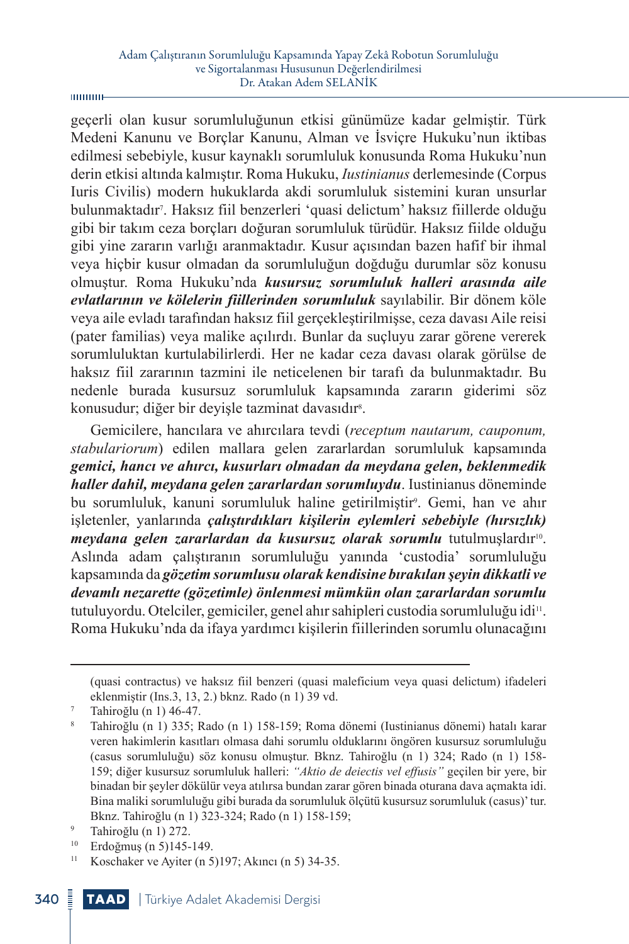geçerli olan kusur sorumluluğunun etkisi günümüze kadar gelmiştir. Türk Medeni Kanunu ve Borçlar Kanunu, Alman ve İsviçre Hukuku'nun iktibas edilmesi sebebiyle, kusur kaynaklı sorumluluk konusunda Roma Hukuku'nun derin etkisi altında kalmıştır. Roma Hukuku, *Iustinianus* derlemesinde (Corpus Iuris Civilis) modern hukuklarda akdi sorumluluk sistemini kuran unsurlar bulunmaktadır<sup>7</sup> . Haksız fiil benzerleri 'quasi delictum' haksız fiillerde olduğu gibi bir takım ceza borçları doğuran sorumluluk türüdür. Haksız fiilde olduğu gibi yine zararın varlığı aranmaktadır. Kusur açısından bazen hafif bir ihmal veya hiçbir kusur olmadan da sorumluluğun doğduğu durumlar söz konusu olmuştur. Roma Hukuku'nda *kusursuz sorumluluk halleri arasında aile evlatlarının ve kölelerin fiillerinden sorumluluk* sayılabilir. Bir dönem köle veya aile evladı tarafından haksız fiil gerçekleştirilmişse, ceza davası Aile reisi (pater familias) veya malike açılırdı. Bunlar da suçluyu zarar görene vererek sorumluluktan kurtulabilirlerdi. Her ne kadar ceza davası olarak görülse de haksız fiil zararının tazmini ile neticelenen bir tarafı da bulunmaktadır. Bu nedenle burada kusursuz sorumluluk kapsamında zararın giderimi söz konusudur; diğer bir deyişle tazminat davasıdır<sup>s</sup>.

Gemicilere, hancılara ve ahırcılara tevdi (*receptum nautarum, cauponum, stabulariorum*) edilen mallara gelen zararlardan sorumluluk kapsamında *gemici, hancı ve ahırcı, kusurları olmadan da meydana gelen, beklenmedik haller dahil, meydana gelen zararlardan sorumluydu*. Iustinianus döneminde bu sorumluluk, kanuni sorumluluk haline getirilmiştir<sup>9</sup>. Gemi, han ve ahır işletenler, yanlarında *çalıştırdıkları kişilerin eylemleri sebebiyle (hırsızlık) meydana gelen zararlardan da kusursuz olarak sorumlu* tutulmuşlardır<sup>10</sup>. Aslında adam çalıştıranın sorumluluğu yanında 'custodia' sorumluluğu kapsamında da *gözetim sorumlusu olarak kendisine bırakılan şeyin dikkatli ve devamlı nezarette (gözetimle) önlenmesi mümkün olan zararlardan sorumlu* tutuluyordu. Otelciler, gemiciler, genel ahır sahipleri custodia sorumluluğu idi<sup>11</sup>. Roma Hukuku'nda da ifaya yardımcı kişilerin fiillerinden sorumlu olunacağını

<sup>(</sup>quasi contractus) ve haksız fiil benzeri (quasi maleficium veya quasi delictum) ifadeleri eklenmiştir (Ins.3, 13, 2.) bknz. Rado (n 1) 39 vd.

 $7$  Tahiroğlu (n 1) 46-47.

<sup>8</sup> Tahiroğlu (n 1) 335; Rado (n 1) 158-159; Roma dönemi (Iustinianus dönemi) hatalı karar veren hakimlerin kasıtları olmasa dahi sorumlu olduklarını öngören kusursuz sorumluluğu (casus sorumluluğu) söz konusu olmuştur. Bknz. Tahiroğlu (n 1) 324; Rado (n 1) 158- 159; diğer kusursuz sorumluluk halleri: *"Aktio de deiectis vel effusis"* geçilen bir yere, bir binadan bir şeyler dökülür veya atılırsa bundan zarar gören binada oturana dava açmakta idi. Bina maliki sorumluluğu gibi burada da sorumluluk ölçütü kusursuz sorumluluk (casus)' tur. Bknz. Tahiroğlu (n 1) 323-324; Rado (n 1) 158-159; 9 Tahiroğlu (n 1) 272.

<sup>&</sup>lt;sup>10</sup> Erdoğmuş (n 5)145-149.<br><sup>11</sup> Koschaker ve Aviter (n 5

Koschaker ve Ayiter (n 5)197; Akıncı (n 5) 34-35.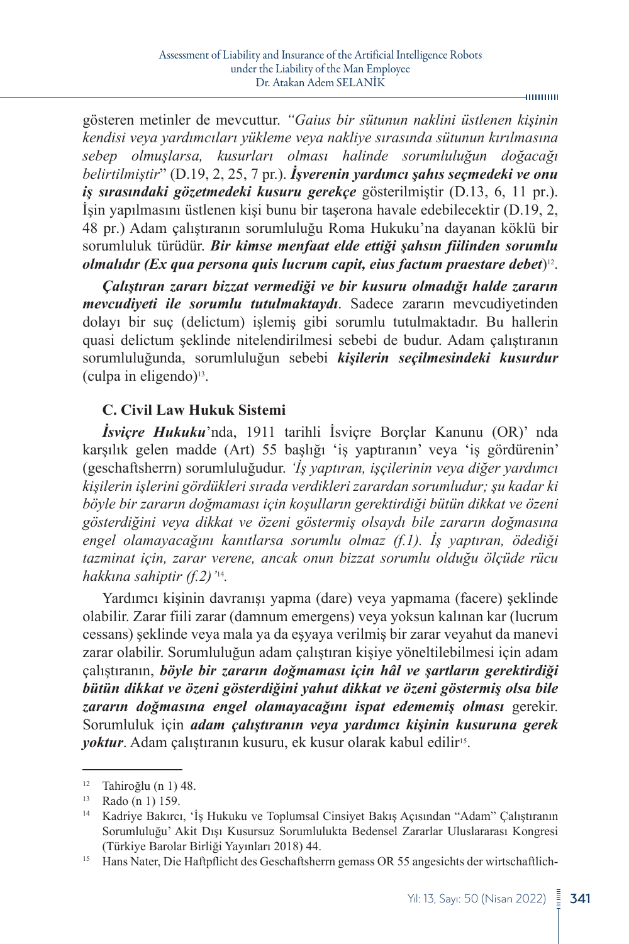-шинин

gösteren metinler de mevcuttur. *"Gaius bir sütunun naklini üstlenen kişinin kendisi veya yardımcıları yükleme veya nakliye sırasında sütunun kırılmasına sebep olmuşlarsa, kusurları olması halinde sorumluluğun doğacağı belirtilmiştir*" (D.19, 2, 25, 7 pr.). *İşverenin yardımcı şahıs seçmedeki ve onu iş sırasındaki gözetmedeki kusuru gerekçe* gösterilmiştir (D.13, 6, 11 pr.). İşin yapılmasını üstlenen kişi bunu bir taşerona havale edebilecektir (D.19, 2, 48 pr.) Adam çalıştıranın sorumluluğu Roma Hukuku'na dayanan köklü bir sorumluluk türüdür. *Bir kimse menfaat elde ettiği şahsın fiilinden sorumlu olmalıdır (Ex qua persona quis lucrum capit, eius factum praestare debet*)12.

*Çalıştıran zararı bizzat vermediği ve bir kusuru olmadığı halde zararın mevcudiyeti ile sorumlu tutulmaktaydı*. Sadece zararın mevcudiyetinden dolayı bir suç (delictum) işlemiş gibi sorumlu tutulmaktadır. Bu hallerin quasi delictum şeklinde nitelendirilmesi sebebi de budur. Adam çalıştıranın sorumluluğunda, sorumluluğun sebebi *kişilerin seçilmesindeki kusurdur*  $(culpa in eigendo)<sup>13</sup>.$ 

#### **C. Civil Law Hukuk Sistemi**

*İsviçre Hukuku*'nda, 1911 tarihli İsviçre Borçlar Kanunu (OR)' nda karşılık gelen madde (Art) 55 başlığı 'iş yaptıranın' veya 'iş gördürenin' (geschaftsherrn) sorumluluğudur. *'İş yaptıran, işçilerinin veya diğer yardımcı kişilerin işlerini gördükleri sırada verdikleri zarardan sorumludur; şu kadar ki böyle bir zararın doğmaması için koşulların gerektirdiği bütün dikkat ve özeni gösterdiğini veya dikkat ve özeni göstermiş olsaydı bile zararın doğmasına engel olamayacağını kanıtlarsa sorumlu olmaz (f.1). İş yaptıran, ödediği tazminat için, zarar verene, ancak onun bizzat sorumlu olduğu ölçüde rücu hakkına sahiptir (f.2)'*14*.* 

Yardımcı kişinin davranışı yapma (dare) veya yapmama (facere) şeklinde olabilir. Zarar fiili zarar (damnum emergens) veya yoksun kalınan kar (lucrum cessans) şeklinde veya mala ya da eşyaya verilmiş bir zarar veyahut da manevi zarar olabilir. Sorumluluğun adam çalıştıran kişiye yöneltilebilmesi için adam çalıştıranın, *böyle bir zararın doğmaması için hâl ve şartların gerektirdiği bütün dikkat ve özeni gösterdiğini yahut dikkat ve özeni göstermiş olsa bile zararın doğmasına engel olamayacağını ispat edememiş olması* gerekir. Sorumluluk için *adam çalıştıranın veya yardımcı kişinin kusuruna gerek*  yoktur. Adam çalıştıranın kusuru, ek kusur olarak kabul edilir<sup>15</sup>.

 $\frac{12}{13}$  Tahiroğlu (n 1) 48.

Rado (n 1) 159.

<sup>14</sup> Kadriye Bakırcı, 'İş Hukuku ve Toplumsal Cinsiyet Bakış Açısından "Adam" Çalıştıranın Sorumluluğu' Akit Dışı Kusursuz Sorumlulukta Bedensel Zararlar Uluslararası Kongresi (Türkiye Barolar Birliği Yayınları 2018) 44.

<sup>&</sup>lt;sup>15</sup> Hans Nater, Die Haftpflicht des Geschaftsherrn gemass OR 55 angesichts der wirtschaftlich-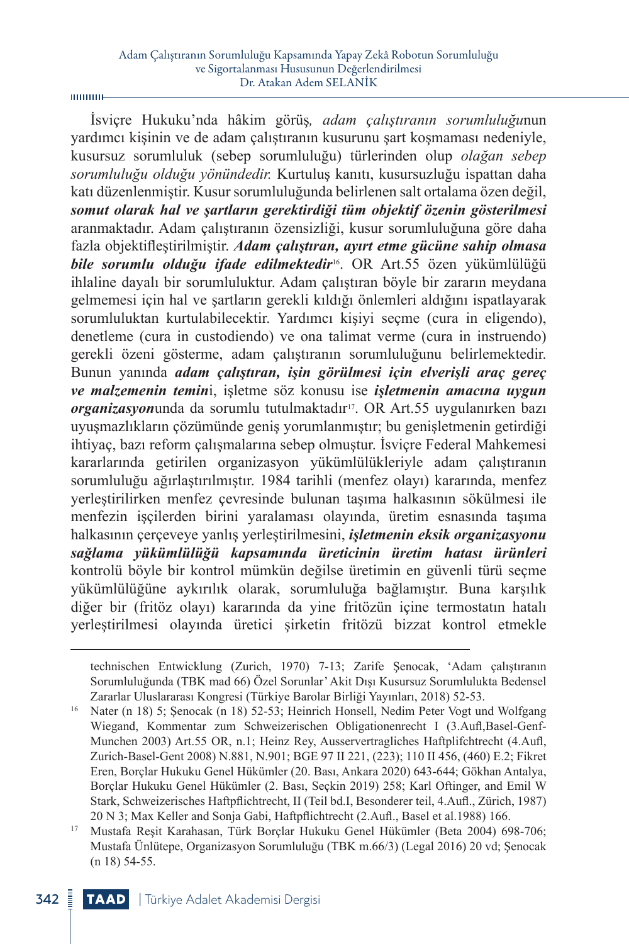$00000 -$ 

İsviçre Hukuku'nda hâkim görüş*, adam çalıştıranın sorumluluğu*nun yardımcı kişinin ve de adam çalıştıranın kusurunu şart koşmaması nedeniyle, kusursuz sorumluluk (sebep sorumluluğu) türlerinden olup *olağan sebep sorumluluğu olduğu yönündedir.* Kurtuluş kanıtı, kusursuzluğu ispattan daha katı düzenlenmiştir. Kusur sorumluluğunda belirlenen salt ortalama özen değil, *somut olarak hal ve şartların gerektirdiği tüm objektif özenin gösterilmesi* aranmaktadır. Adam çalıştıranın özensizliği, kusur sorumluluğuna göre daha fazla objektifleştirilmiştir. *Adam çalıştıran, ayırt etme gücüne sahip olmasa bile sorumlu olduğu ifade edilmektedir*16. OR Art.55 özen yükümlülüğü ihlaline dayalı bir sorumluluktur. Adam çalıştıran böyle bir zararın meydana gelmemesi için hal ve şartların gerekli kıldığı önlemleri aldığını ispatlayarak sorumluluktan kurtulabilecektir. Yardımcı kişiyi seçme (cura in eligendo), denetleme (cura in custodiendo) ve ona talimat verme (cura in instruendo) gerekli özeni gösterme, adam çalıştıranın sorumluluğunu belirlemektedir. Bunun yanında *adam çalıştıran, işin görülmesi için elverişli araç gereç ve malzemenin temin*i, işletme söz konusu ise *işletmenin amacına uygun organizasyon*unda da sorumlu tutulmaktadır<sup>17</sup>. OR Art.55 uygulanırken bazı uyuşmazlıkların çözümünde geniş yorumlanmıştır; bu genişletmenin getirdiği ihtiyaç, bazı reform çalışmalarına sebep olmuştur. İsviçre Federal Mahkemesi kararlarında getirilen organizasyon yükümlülükleriyle adam çalıştıranın sorumluluğu ağırlaştırılmıştır. 1984 tarihli (menfez olayı) kararında, menfez yerleştirilirken menfez çevresinde bulunan taşıma halkasının sökülmesi ile menfezin işçilerden birini yaralaması olayında, üretim esnasında taşıma halkasının çerçeveye yanlış yerleştirilmesini, *işletmenin eksik organizasyonu sağlama yükümlülüğü kapsamında üreticinin üretim hatası ürünleri* kontrolü böyle bir kontrol mümkün değilse üretimin en güvenli türü seçme yükümlülüğüne aykırılık olarak, sorumluluğa bağlamıştır. Buna karşılık diğer bir (fritöz olayı) kararında da yine fritözün içine termostatın hatalı yerleştirilmesi olayında üretici şirketin fritözü bizzat kontrol etmekle

technischen Entwicklung (Zurich, 1970) 7-13; Zarife Şenocak, 'Adam çalıştıranın Sorumluluğunda (TBK mad 66) Özel Sorunlar' Akit Dışı Kusursuz Sorumlulukta Bedensel Zararlar Uluslararası Kongresi (Türkiye Barolar Birliği Yayınları, 2018) 52-53.

<sup>16</sup> Nater (n 18) 5; Şenocak (n 18) 52-53; Heinrich Honsell, Nedim Peter Vogt und Wolfgang Wiegand, Kommentar zum Schweizerischen Obligationenrecht I (3.Aufl,Basel-Genf-Munchen 2003) Art.55 OR, n.1; Heinz Rey, Ausservertragliches Haftplifchtrecht (4.Aufl, Zurich-Basel-Gent 2008) N.881, N.901; BGE 97 II 221, (223); 110 II 456, (460) E.2; Fikret Eren, Borçlar Hukuku Genel Hükümler (20. Bası, Ankara 2020) 643-644; Gökhan Antalya, Borçlar Hukuku Genel Hükümler (2. Bası, Seçkin 2019) 258; Karl Oftinger, and Emil W Stark, Schweizerisches Haftpflichtrecht, II (Teil bd.I, Besonderer teil, 4.Aufl., Zürich, 1987) 20 N 3; Max Keller and Sonja Gabi, Haftpflichtrecht (2.Aufl., Basel et al.1988) 166.

<sup>17</sup> Mustafa Reşit Karahasan, Türk Borçlar Hukuku Genel Hükümler (Beta 2004) 698-706; Mustafa Ünlütepe, Organizasyon Sorumluluğu (TBK m.66/3) (Legal 2016) 20 vd; Şenocak (n 18) 54-55.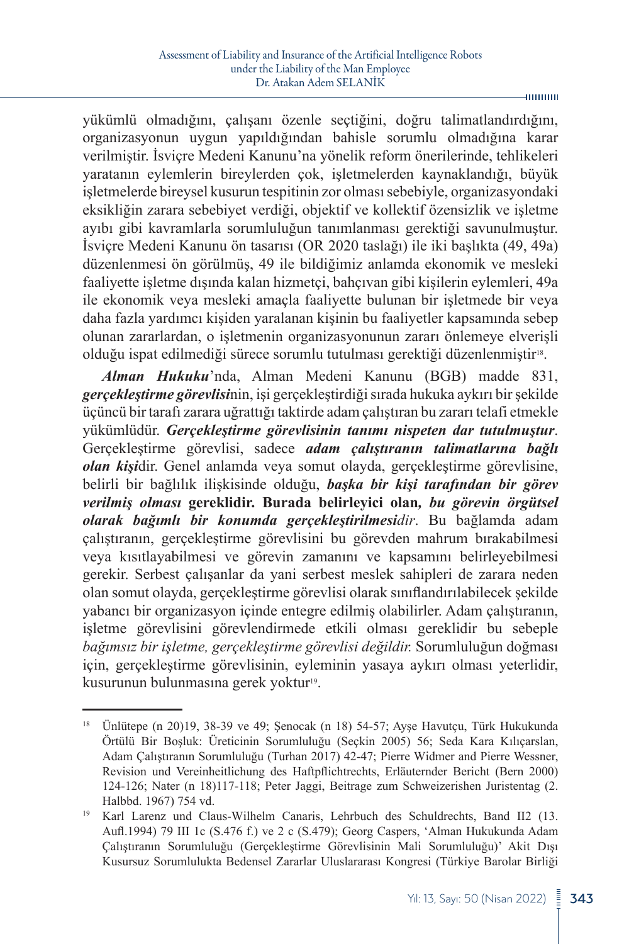yükümlü olmadığını, çalışanı özenle seçtiğini, doğru talimatlandırdığını, organizasyonun uygun yapıldığından bahisle sorumlu olmadığına karar verilmiştir. İsviçre Medeni Kanunu'na yönelik reform önerilerinde, tehlikeleri yaratanın eylemlerin bireylerden çok, işletmelerden kaynaklandığı, büyük işletmelerde bireysel kusurun tespitinin zor olması sebebiyle, organizasyondaki eksikliğin zarara sebebiyet verdiği, objektif ve kollektif özensizlik ve işletme ayıbı gibi kavramlarla sorumluluğun tanımlanması gerektiği savunulmuştur. İsviçre Medeni Kanunu ön tasarısı (OR 2020 taslağı) ile iki başlıkta (49, 49a) düzenlenmesi ön görülmüş, 49 ile bildiğimiz anlamda ekonomik ve mesleki faaliyette işletme dışında kalan hizmetçi, bahçıvan gibi kişilerin eylemleri, 49a ile ekonomik veya mesleki amaçla faaliyette bulunan bir işletmede bir veya daha fazla yardımcı kişiden yaralanan kişinin bu faaliyetler kapsamında sebep olunan zararlardan, o işletmenin organizasyonunun zararı önlemeye elverişli olduğu ispat edilmediği sürece sorumlu tutulması gerektiği düzenlenmiştir<sup>18</sup>.

*Alman Hukuku*'nda, Alman Medeni Kanunu (BGB) madde 831, *gerçekleştirme görevlisi*nin, işi gerçekleştirdiği sırada hukuka aykırı bir şekilde üçüncü bir tarafı zarara uğrattığı taktirde adam çalıştıran bu zararı telafi etmekle yükümlüdür. *Gerçekleştirme görevlisinin tanımı nispeten dar tutulmuştur*. Gerçekleştirme görevlisi, sadece *adam çalıştıranın talimatlarına bağlı olan kişi*dir. Genel anlamda veya somut olayda, gerçekleştirme görevlisine, belirli bir bağlılık ilişkisinde olduğu, *başka bir kişi tarafından bir görev verilmiş olması* **gereklidir. Burada belirleyici olan***, bu görevin örgütsel olarak bağımlı bir konumda gerçekleştirilmesidir*. Bu bağlamda adam çalıştıranın, gerçekleştirme görevlisini bu görevden mahrum bırakabilmesi veya kısıtlayabilmesi ve görevin zamanını ve kapsamını belirleyebilmesi gerekir. Serbest çalışanlar da yani serbest meslek sahipleri de zarara neden olan somut olayda, gerçekleştirme görevlisi olarak sınıflandırılabilecek şekilde yabancı bir organizasyon içinde entegre edilmiş olabilirler. Adam çalıştıranın, işletme görevlisini görevlendirmede etkili olması gereklidir bu sebeple *bağımsız bir işletme, gerçekleştirme görevlisi değildir.* Sorumluluğun doğması için, gerçekleştirme görevlisinin, eyleminin yasaya aykırı olması yeterlidir, kusurunun bulunmasına gerek yoktur<sup>19</sup>.

-mmmm

<sup>18</sup> Ünlütepe (n 20)19, 38-39 ve 49; Şenocak (n 18) 54-57; Ayşe Havutçu, Türk Hukukunda Örtülü Bir Boşluk: Üreticinin Sorumluluğu (Seçkin 2005) 56; Seda Kara Kılıçarslan, Adam Çalıştıranın Sorumluluğu (Turhan 2017) 42-47; Pierre Widmer and Pierre Wessner, Revision und Vereinheitlichung des Haftpflichtrechts, Erläuternder Bericht (Bern 2000) 124-126; Nater (n 18)117-118; Peter Jaggi, Beitrage zum Schweizerishen Juristentag (2.

Halbbd. 1967) 754 vd.<br><sup>19</sup> Karl Larenz und Claus-Wilhelm Canaris, Lehrbuch des Schuldrechts, Band II2 (13. Aufl.1994) 79 III 1c (S.476 f.) ve 2 c (S.479); Georg Caspers, 'Alman Hukukunda Adam Çalıştıranın Sorumluluğu (Gerçekleştirme Görevlisinin Mali Sorumluluğu)' Akit Dışı Kusursuz Sorumlulukta Bedensel Zararlar Uluslararası Kongresi (Türkiye Barolar Birliği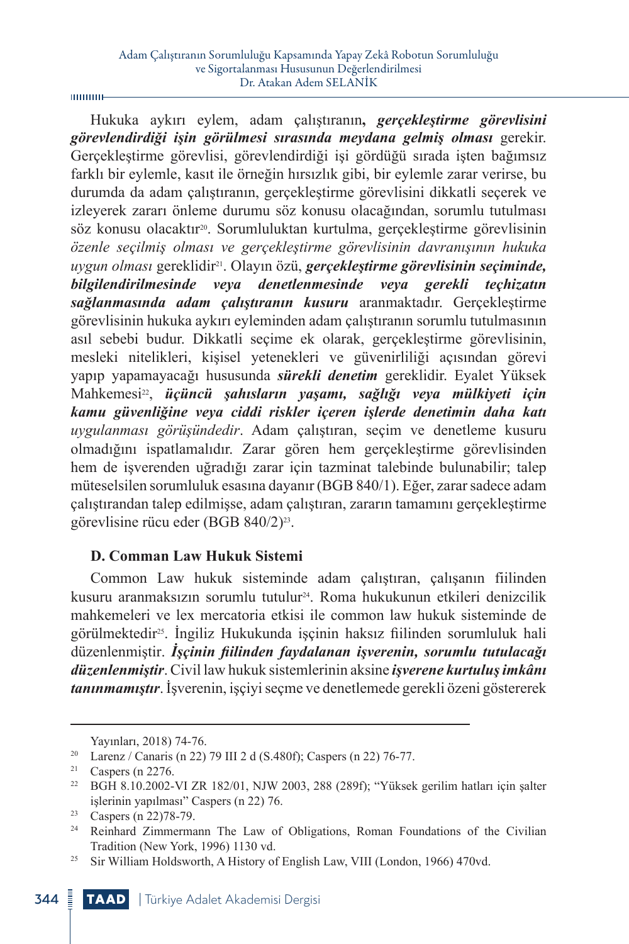Hukuka aykırı eylem, adam çalıştıranın**,** *gerçekleştirme görevlisini görevlendirdiği işin görülmesi sırasında meydana gelmiş olması* gerekir. Gerçekleştirme görevlisi, görevlendirdiği işi gördüğü sırada işten bağımsız farklı bir eylemle, kasıt ile örneğin hırsızlık gibi, bir eylemle zarar verirse, bu durumda da adam çalıştıranın, gerçekleştirme görevlisini dikkatli seçerek ve izleyerek zararı önleme durumu söz konusu olacağından, sorumlu tutulması söz konusu olacaktır20. Sorumluluktan kurtulma, gerçekleştirme görevlisinin *özenle seçilmiş olması ve gerçekleştirme görevlisinin davranışının hukuka uygun olması* gereklidir21. Olayın özü, *gerçekleştirme görevlisinin seçiminde, bilgilendirilmesinde veya denetlenmesinde veya gerekli teçhizatın sağlanmasında adam çalıştıranın kusuru* aranmaktadır. Gerçekleştirme görevlisinin hukuka aykırı eyleminden adam çalıştıranın sorumlu tutulmasının asıl sebebi budur. Dikkatli seçime ek olarak, gerçekleştirme görevlisinin, mesleki nitelikleri, kişisel yetenekleri ve güvenirliliği açısından görevi yapıp yapamayacağı hususunda *sürekli denetim* gereklidir. Eyalet Yüksek Mahkemesi22, *üçüncü şahısların yaşamı, sağlığı veya mülkiyeti için kamu güvenliğine veya ciddi riskler içeren işlerde denetimin daha katı uygulanması görüşündedir*. Adam çalıştıran, seçim ve denetleme kusuru olmadığını ispatlamalıdır. Zarar gören hem gerçekleştirme görevlisinden hem de işverenden uğradığı zarar için tazminat talebinde bulunabilir; talep müteselsilen sorumluluk esasına dayanır (BGB 840/1). Eğer, zarar sadece adam çalıştırandan talep edilmişse, adam çalıştıran, zararın tamamını gerçekleştirme görevlisine rücu eder (BGB 840/2)23.

## **D. Comman Law Hukuk Sistemi**

Common Law hukuk sisteminde adam çalıştıran, çalışanın fiilinden kusuru aranmaksızın sorumlu tutulur24. Roma hukukunun etkileri denizcilik mahkemeleri ve lex mercatoria etkisi ile common law hukuk sisteminde de görülmektedir25. İngiliz Hukukunda işçinin haksız fiilinden sorumluluk hali düzenlenmiştir. *İşçinin fiilinden faydalanan işverenin, sorumlu tutulacağı düzenlenmiştir*. Civil law hukuk sistemlerinin aksine *işverene kurtuluş imkânı tanınmamıştır*. İşverenin, işçiyi seçme ve denetlemede gerekli özeni göstererek

Yayınları, 2018) 74-76.

<sup>20</sup> Larenz / Canaris (n 22) 79 III 2 d (S.480f); Caspers (n 22) 76-77.

 $21$  Caspers (n 2276.

<sup>22</sup> BGH 8.10.2002-VI ZR 182/01, NJW 2003, 288 (289f); "Yüksek gerilim hatları için şalter işlerinin yapılması" Caspers (n 22) 76.

<sup>23</sup> Caspers (n 22)78-79.

<sup>&</sup>lt;sup>24</sup> Reinhard Zimmermann The Law of Obligations, Roman Foundations of the Civilian Tradition (New York, 1996) 1130 vd.

<sup>&</sup>lt;sup>25</sup> Sir William Holdsworth, A History of English Law, VIII (London, 1966) 470vd.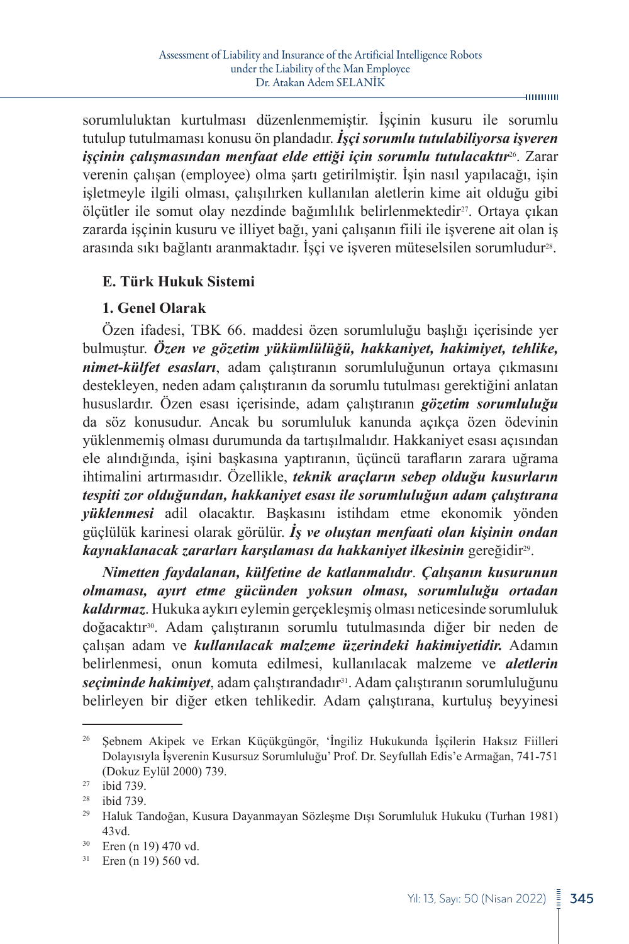sorumluluktan kurtulması düzenlenmemiştir. İşçinin kusuru ile sorumlu tutulup tutulmaması konusu ön plandadır. *İşçi sorumlu tutulabiliyorsa işveren işçinin çalışmasından menfaat elde ettiği için sorumlu tutulacaktır*26. Zarar verenin çalışan (employee) olma şartı getirilmiştir. İşin nasıl yapılacağı, işin işletmeyle ilgili olması, çalışılırken kullanılan aletlerin kime ait olduğu gibi ölçütler ile somut olay nezdinde bağımlılık belirlenmektedir<sup>27</sup>. Ortaya çıkan zararda işçinin kusuru ve illiyet bağı, yani çalışanın fiili ile işverene ait olan iş arasında sıkı bağlantı aranmaktadır. İşçi ve işveren müteselsilen sorumludur<sup>28</sup>.

## **E. Türk Hukuk Sistemi**

## **1. Genel Olarak**

Özen ifadesi, TBK 66. maddesi özen sorumluluğu başlığı içerisinde yer bulmuştur. *Özen ve gözetim yükümlülüğü, hakkaniyet, hakimiyet, tehlike, nimet-külfet esasları*, adam çalıştıranın sorumluluğunun ortaya çıkmasını destekleyen, neden adam çalıştıranın da sorumlu tutulması gerektiğini anlatan hususlardır. Özen esası içerisinde, adam çalıştıranın *gözetim sorumluluğu* da söz konusudur. Ancak bu sorumluluk kanunda açıkça özen ödevinin yüklenmemiş olması durumunda da tartışılmalıdır. Hakkaniyet esası açısından ele alındığında, işini başkasına yaptıranın, üçüncü tarafların zarara uğrama ihtimalini artırmasıdır. Özellikle, *teknik araçların sebep olduğu kusurların tespiti zor olduğundan, hakkaniyet esası ile sorumluluğun adam çalıştırana yüklenmesi* adil olacaktır. Başkasını istihdam etme ekonomik yönden güçlülük karinesi olarak görülür. *İş ve oluştan menfaati olan kişinin ondan kaynaklanacak zararları karşılaması da hakkaniyet ilkesinin* gereğidir29.

*Nimetten faydalanan, külfetine de katlanmalıdır*. *Çalışanın kusurunun olmaması, ayırt etme gücünden yoksun olması, sorumluluğu ortadan kaldırmaz*. Hukuka aykırı eylemin gerçekleşmiş olması neticesinde sorumluluk doğacaktır30. Adam çalıştıranın sorumlu tutulmasında diğer bir neden de çalışan adam ve *kullanılacak malzeme üzerindeki hakimiyetidir.* Adamın belirlenmesi, onun komuta edilmesi, kullanılacak malzeme ve *aletlerin seçiminde hakimiyet*, adam çalıştırandadır31. Adam çalıştıranın sorumluluğunu belirleyen bir diğer etken tehlikedir. Adam çalıştırana, kurtuluş beyyinesi

Yıl: 13, Sayı: 50 (Nisan 2022)  $\frac{3}{2}$  345

<sup>26</sup> Şebnem Akipek ve Erkan Küçükgüngör, 'İngiliz Hukukunda İşçilerin Haksız Fiilleri Dolayısıyla İşverenin Kusursuz Sorumluluğu' Prof. Dr. Seyfullah Edis'e Armağan, 741-751 (Dokuz Eylül 2000) 739.

 $^{27}$  ibid 739.

ibid 739.

<sup>29</sup> Haluk Tandoğan, Kusura Dayanmayan Sözleşme Dışı Sorumluluk Hukuku (Turhan 1981) 43vd.

<sup>30</sup> Eren (n 19) 470 vd.

<sup>31</sup> Eren (n 19) 560 vd.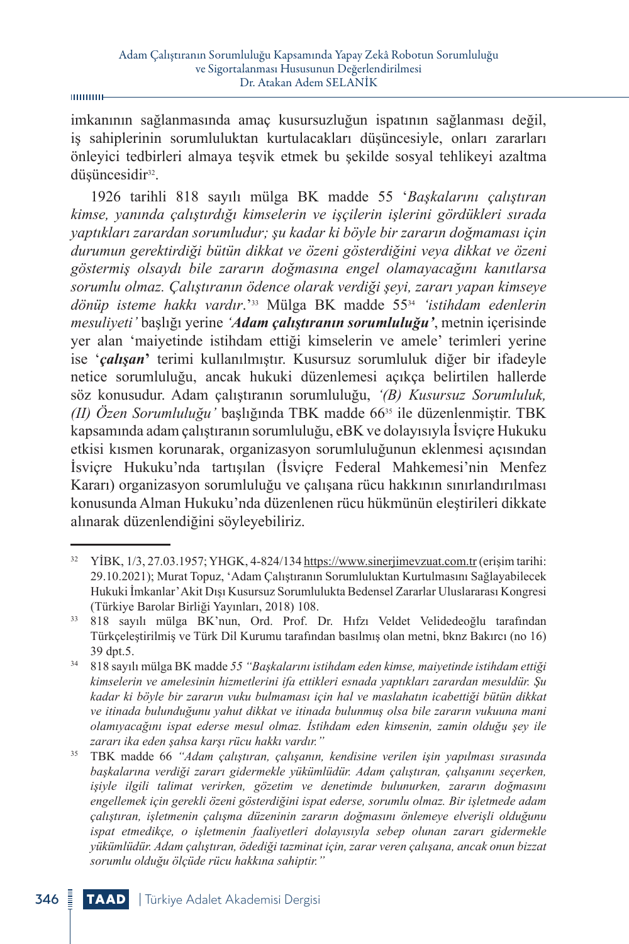imkanının sağlanmasında amaç kusursuzluğun ispatının sağlanması değil, iş sahiplerinin sorumluluktan kurtulacakları düşüncesiyle, onları zararları önleyici tedbirleri almaya teşvik etmek bu şekilde sosyal tehlikeyi azaltma düşüncesidir<sup>32</sup>.

1926 tarihli 818 sayılı mülga BK madde 55 '*Başkalarını çalıştıran kimse, yanında çalıştırdığı kimselerin ve işçilerin işlerini gördükleri sırada yaptıkları zarardan sorumludur; şu kadar ki böyle bir zararın doğmaması için durumun gerektirdiği bütün dikkat ve özeni gösterdiğini veya dikkat ve özeni göstermiş olsaydı bile zararın doğmasına engel olamayacağını kanıtlarsa sorumlu olmaz. Çalıştıranın ödence olarak verdiği şeyi, zararı yapan kimseye dönüp isteme hakkı vardır*.'33 Mülga BK madde 55<sup>34</sup> *'istihdam edenlerin mesuliyeti'* başlığı yerine *'Adam çalıştıranın sorumluluğu'*, metnin içerisinde yer alan 'maiyetinde istihdam ettiği kimselerin ve amele' terimleri yerine ise '*çalışan***'** terimi kullanılmıştır. Kusursuz sorumluluk diğer bir ifadeyle netice sorumluluğu, ancak hukuki düzenlemesi açıkça belirtilen hallerde söz konusudur. Adam çalıştıranın sorumluluğu, *'(B) Kusursuz Sorumluluk, (II) Özen Sorumluluğu'* başlığında TBK madde 6635 ile düzenlenmiştir. TBK kapsamında adam çalıştıranın sorumluluğu, eBK ve dolayısıyla İsviçre Hukuku etkisi kısmen korunarak, organizasyon sorumluluğunun eklenmesi açısından İsviçre Hukuku'nda tartışılan (İsviçre Federal Mahkemesi'nin Menfez Kararı) organizasyon sorumluluğu ve çalışana rücu hakkının sınırlandırılması konusunda Alman Hukuku'nda düzenlenen rücu hükmünün eleştirileri dikkate alınarak düzenlendiğini söyleyebiliriz.

<sup>32</sup> YİBK, 1/3, 27.03.1957; YHGK, 4-824/134<https://www.sinerjimevzuat.com.tr>(erişim tarihi: 29.10.2021); Murat Topuz, 'Adam Çalıştıranın Sorumluluktan Kurtulmasını Sağlayabilecek Hukuki İmkanlar' Akit Dışı Kusursuz Sorumlulukta Bedensel Zararlar Uluslararası Kongresi (Türkiye Barolar Birliği Yayınları, 2018) 108.

<sup>33</sup> 818 sayılı mülga BK'nun, Ord. Prof. Dr. Hıfzı Veldet Velidedeoğlu tarafından Türkçeleştirilmiş ve Türk Dil Kurumu tarafından basılmış olan metni, bknz Bakırcı (no 16) 39 dpt.5.

<sup>34</sup> 818 sayılı mülga BK madde *55 "Başkalarını istihdam eden kimse, maiyetinde istihdam ettiği kimselerin ve amelesinin hizmetlerini ifa ettikleri esnada yaptıkları zarardan mesuldür. Şu kadar ki böyle bir zararın vuku bulmaması için hal ve maslahatın icabettiği bütün dikkat ve itinada bulunduğunu yahut dikkat ve itinada bulunmuş olsa bile zararın vukuuna mani olamıyacağını ispat ederse mesul olmaz. İstihdam eden kimsenin, zamin olduğu şey ile zararı ika eden şahsa karşı rücu hakkı vardır."*

<sup>35</sup> TBK madde 66 *"Adam çalıştıran, çalışanın, kendisine verilen işin yapılması sırasında başkalarına verdiği zararı gidermekle yükümlüdür. Adam çalıştıran, çalışanını seçerken, işiyle ilgili talimat verirken, gözetim ve denetimde bulunurken, zararın doğmasını engellemek için gerekli özeni gösterdiğini ispat ederse, sorumlu olmaz. Bir işletmede adam çalıştıran, işletmenin çalışma düzeninin zararın doğmasını önlemeye elverişli olduğunu ispat etmedikçe, o işletmenin faaliyetleri dolayısıyla sebep olunan zararı gidermekle yükümlüdür. Adam çalıştıran, ödediği tazminat için, zarar veren çalışana, ancak onun bizzat sorumlu olduğu ölçüde rücu hakkına sahiptir."*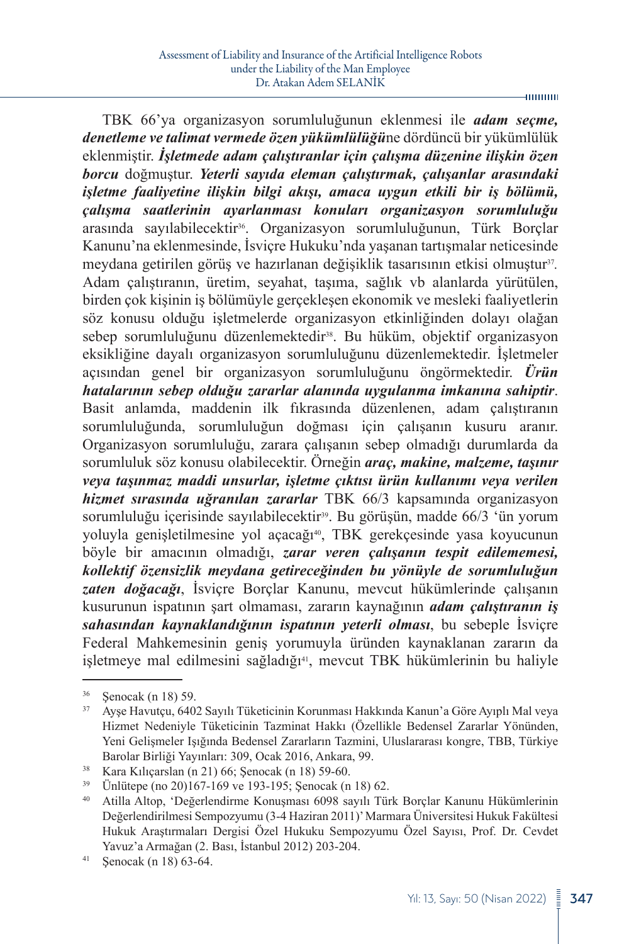TBK 66'ya organizasyon sorumluluğunun eklenmesi ile *adam seçme, denetleme ve talimat vermede özen yükümlülüğü*ne dördüncü bir yükümlülük eklenmiştir. *İşletmede adam çalıştıranlar için çalışma düzenine ilişkin özen borcu* doğmuştur. *Yeterli sayıda eleman çalıştırmak, çalışanlar arasındaki işletme faaliyetine ilişkin bilgi akışı, amaca uygun etkili bir iş bölümü, çalışma saatlerinin ayarlanması konuları organizasyon sorumluluğu* arasında sayılabilecektir36. Organizasyon sorumluluğunun, Türk Borçlar Kanunu'na eklenmesinde, İsviçre Hukuku'nda yaşanan tartışmalar neticesinde meydana getirilen görüş ve hazırlanan değişiklik tasarısının etkisi olmuştur37*.* Adam çalıştıranın, üretim, seyahat, taşıma, sağlık vb alanlarda yürütülen, birden çok kişinin iş bölümüyle gerçekleşen ekonomik ve mesleki faaliyetlerin söz konusu olduğu işletmelerde organizasyon etkinliğinden dolayı olağan sebep sorumluluğunu düzenlemektedir<sup>38</sup>. Bu hüküm, objektif organizasyon eksikliğine dayalı organizasyon sorumluluğunu düzenlemektedir. İşletmeler açısından genel bir organizasyon sorumluluğunu öngörmektedir. *Ürün hatalarının sebep olduğu zararlar alanında uygulanma imkanına sahiptir*. Basit anlamda, maddenin ilk fıkrasında düzenlenen, adam çalıştıranın sorumluluğunda, sorumluluğun doğması için çalışanın kusuru aranır. Organizasyon sorumluluğu, zarara çalışanın sebep olmadığı durumlarda da sorumluluk söz konusu olabilecektir. Örneğin *araç, makine, malzeme, taşınır veya taşınmaz maddi unsurlar, işletme çıktısı ürün kullanımı veya verilen hizmet sırasında uğranılan zararlar* TBK 66/3 kapsamında organizasyon sorumluluğu içerisinde sayılabilecektir<sup>39</sup>. Bu görüşün, madde 66/3 'ün yorum yoluyla genişletilmesine yol açacağı<sup>40</sup>, TBK gerekçesinde yasa koyucunun böyle bir amacının olmadığı, *zarar veren çalışanın tespit edilememesi, kollektif özensizlik meydana getireceğinden bu yönüyle de sorumluluğun zaten doğacağı*, İsviçre Borçlar Kanunu, mevcut hükümlerinde çalışanın kusurunun ispatının şart olmaması, zararın kaynağının *adam çalıştıranın iş sahasından kaynaklandığının ispatının yeterli olması*, bu sebeple İsviçre

Federal Mahkemesinin geniş yorumuyla üründen kaynaklanan zararın da işletmeye mal edilmesini sağladığı<sup>41</sup>, mevcut TBK hükümlerinin bu haliyle

 $-$ **mmm** 

 $\frac{36}{37}$  Şenocak (n 18) 59.<br> $\frac{37}{37}$  Avse Havutcu 640

<sup>37</sup> Ayşe Havutçu, 6402 Sayılı Tüketicinin Korunması Hakkında Kanun'a Göre Ayıplı Mal veya Hizmet Nedeniyle Tüketicinin Tazminat Hakkı (Özellikle Bedensel Zararlar Yönünden, Yeni Gelişmeler Işığında Bedensel Zararların Tazmini, Uluslararası kongre, TBB, Türkiye Barolar Birliği Yayınları: 309, Ocak 2016, Ankara, 99.

<sup>38</sup> Kara Kılıçarslan (n 21) 66; Şenocak (n 18) 59-60.

 $\frac{39}{10}$  Ünlütepe (no 20)167-169 ve 193-195; Şenocak (n 18) 62.<br>
40 Atilla Alton 'Değerlendirme Konusması 6098 savılı Tür

<sup>40</sup> Atilla Altop, 'Değerlendirme Konuşması 6098 sayılı Türk Borçlar Kanunu Hükümlerinin Değerlendirilmesi Sempozyumu (3-4 Haziran 2011)' Marmara Üniversitesi Hukuk Fakültesi Hukuk Araştırmaları Dergisi Özel Hukuku Sempozyumu Özel Sayısı, Prof. Dr. Cevdet Yavuz'a Armağan (2. Bası, İstanbul 2012) 203-204.

<sup>41</sup> Şenocak (n 18) 63-64.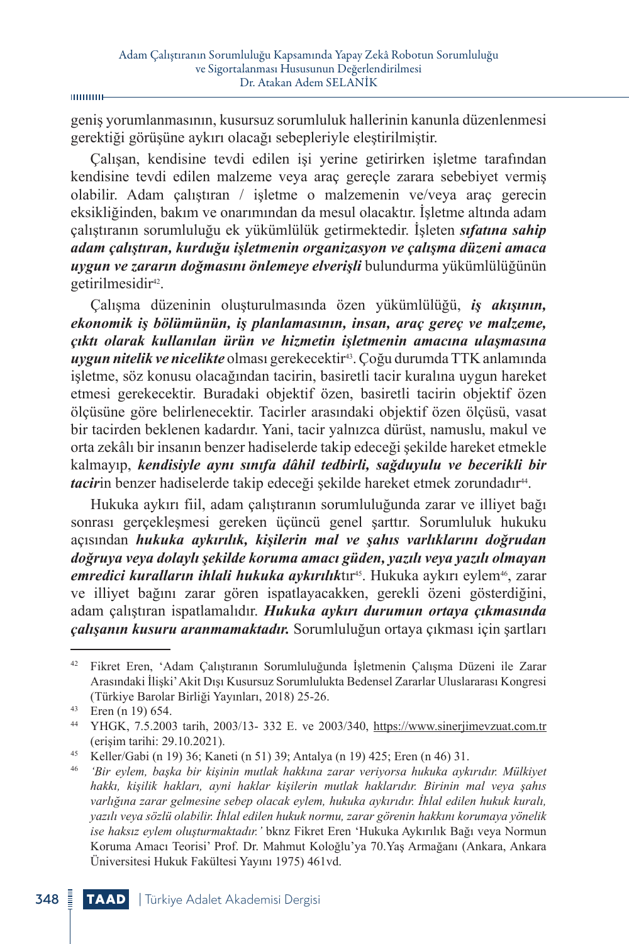geniş yorumlanmasının, kusursuz sorumluluk hallerinin kanunla düzenlenmesi gerektiği görüşüne aykırı olacağı sebepleriyle eleştirilmiştir.

Çalışan, kendisine tevdi edilen işi yerine getirirken işletme tarafından kendisine tevdi edilen malzeme veya araç gereçle zarara sebebiyet vermiş olabilir. Adam çalıştıran / işletme o malzemenin ve/veya araç gerecin eksikliğinden, bakım ve onarımından da mesul olacaktır. İşletme altında adam çalıştıranın sorumluluğu ek yükümlülük getirmektedir. İşleten *sıfatına sahip adam çalıştıran, kurduğu işletmenin organizasyon ve çalışma düzeni amaca uygun ve zararın doğmasını önlemeye elverişli* bulundurma yükümlülüğünün getirilmesidir<sup>42</sup>.

Çalışma düzeninin oluşturulmasında özen yükümlülüğü, *iş akışının, ekonomik iş bölümünün, iş planlamasının, insan, araç gereç ve malzeme, çıktı olarak kullanılan ürün ve hizmetin işletmenin amacına ulaşmasına uygun nitelik ve nicelikte* olması gerekecektir43. Çoğu durumda TTK anlamında işletme, söz konusu olacağından tacirin, basiretli tacir kuralına uygun hareket etmesi gerekecektir. Buradaki objektif özen, basiretli tacirin objektif özen ölçüsüne göre belirlenecektir. Tacirler arasındaki objektif özen ölçüsü, vasat bir tacirden beklenen kadardır. Yani, tacir yalnızca dürüst, namuslu, makul ve orta zekâlı bir insanın benzer hadiselerde takip edeceği şekilde hareket etmekle kalmayıp, *kendisiyle aynı sınıfa dâhil tedbirli, sağduyulu ve becerikli bir tacirin* benzer hadiselerde takip edeceği sekilde hareket etmek zorundadır<sup>44</sup>.

Hukuka aykırı fiil, adam çalıştıranın sorumluluğunda zarar ve illiyet bağı sonrası gerçekleşmesi gereken üçüncü genel şarttır. Sorumluluk hukuku açısından *hukuka aykırılık, kişilerin mal ve şahıs varlıklarını doğrudan doğruya veya dolaylı şekilde koruma amacı güden, yazılı veya yazılı olmayan*  emredici kuralların ihlali hukuka aykırılıktır<sup>45</sup>. Hukuka aykırı eylem<sup>46</sup>, zarar ve illiyet bağını zarar gören ispatlayacakken, gerekli özeni gösterdiğini, adam çalıştıran ispatlamalıdır. *Hukuka aykırı durumun ortaya çıkmasında çalışanın kusuru aranmamaktadır.* Sorumluluğun ortaya çıkması için şartları

<sup>42</sup> Fikret Eren, 'Adam Çalıştıranın Sorumluluğunda İşletmenin Çalışma Düzeni ile Zarar Arasındaki İlişki' Akit Dışı Kusursuz Sorumlulukta Bedensel Zararlar Uluslararası Kongresi (Türkiye Barolar Birliği Yayınları, 2018) 25-26.

<sup>43</sup> Eren (n 19) 654.

<sup>44</sup> YHGK, 7.5.2003 tarih, 2003/13- 332 E. ve 2003/340, <https://www.sinerjimevzuat.com.tr> (erişim tarihi: 29.10.2021).

<sup>45</sup> Keller/Gabi (n 19) 36; Kaneti (n 51) 39; Antalya (n 19) 425; Eren (n 46) 31.

<sup>46</sup> *'Bir eylem, başka bir kişinin mutlak hakkına zarar veriyorsa hukuka aykırıdır. Mülkiyet hakkı, kişilik hakları, ayni haklar kişilerin mutlak haklarıdır. Birinin mal veya şahıs varlığına zarar gelmesine sebep olacak eylem, hukuka aykırıdır. İhlal edilen hukuk kuralı, yazılı veya sözlü olabilir. İhlal edilen hukuk normu, zarar görenin hakkını korumaya yönelik ise haksız eylem oluşturmaktadır.'* bknz Fikret Eren 'Hukuka Aykırılık Bağı veya Normun Koruma Amacı Teorisi' Prof. Dr. Mahmut Koloğlu'ya 70.Yaş Armağanı (Ankara, Ankara Üniversitesi Hukuk Fakültesi Yayını 1975) 461vd.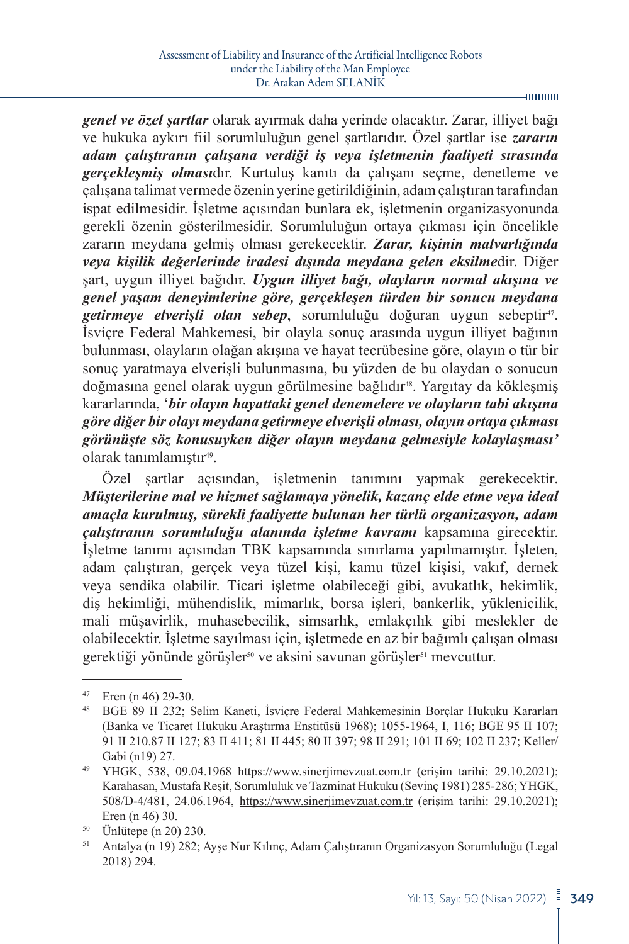*genel ve özel şartlar* olarak ayırmak daha yerinde olacaktır. Zarar, illiyet bağı ve hukuka aykırı fiil sorumluluğun genel şartlarıdır. Özel şartlar ise *zararın adam çalıştıranın çalışana verdiği iş veya işletmenin faaliyeti sırasında gerçekleşmiş olması*dır. Kurtuluş kanıtı da çalışanı seçme, denetleme ve çalışana talimat vermede özenin yerine getirildiğinin, adam çalıştıran tarafından ispat edilmesidir. İşletme açısından bunlara ek, işletmenin organizasyonunda gerekli özenin gösterilmesidir. Sorumluluğun ortaya çıkması için öncelikle zararın meydana gelmiş olması gerekecektir. *Zarar, kişinin malvarlığında veya kişilik değerlerinde iradesi dışında meydana gelen eksilme*dir. Diğer şart, uygun illiyet bağıdır. *Uygun illiyet bağı, olayların normal akışına ve genel yaşam deneyimlerine göre, gerçekleşen türden bir sonucu meydana getirmeye elverişli olan sebep*, sorumluluğu doğuran uygun sebeptir47. İsviçre Federal Mahkemesi, bir olayla sonuç arasında uygun illiyet bağının bulunması, olayların olağan akışına ve hayat tecrübesine göre, olayın o tür bir sonuç yaratmaya elverişli bulunmasına, bu yüzden de bu olaydan o sonucun doğmasına genel olarak uygun görülmesine bağlıdır<sup>48</sup>. Yargıtay da köklesmiş kararlarında, '*bir olayın hayattaki genel denemelere ve olayların tabi akışına göre diğer bir olayı meydana getirmeye elverişli olması, olayın ortaya çıkması görünüşte söz konusuyken diğer olayın meydana gelmesiyle kolaylaşması'* olarak tanımlamıştır<sup>49</sup>.

Özel şartlar açısından, işletmenin tanımını yapmak gerekecektir. *Müşterilerine mal ve hizmet sağlamaya yönelik, kazanç elde etme veya ideal amaçla kurulmuş, sürekli faaliyette bulunan her türlü organizasyon, adam çalıştıranın sorumluluğu alanında işletme kavramı* kapsamına girecektir. İşletme tanımı açısından TBK kapsamında sınırlama yapılmamıştır. İşleten, adam çalıştıran, gerçek veya tüzel kişi, kamu tüzel kişisi, vakıf, dernek veya sendika olabilir. Ticari işletme olabileceği gibi, avukatlık, hekimlik, diş hekimliği, mühendislik, mimarlık, borsa işleri, bankerlik, yüklenicilik, mali müşavirlik, muhasebecilik, simsarlık, emlakçılık gibi meslekler de olabilecektir. İşletme sayılması için, işletmede en az bir bağımlı çalışan olması gerektiği yönünde görüşler<sup>50</sup> ve aksini savunan görüşler<sup>51</sup> mevcuttur.

<sup>&</sup>lt;sup>47</sup> Eren (n 46) 29-30.<br><sup>48</sup> BGE 89 II 232: S

<sup>48</sup> BGE 89 II 232; Selim Kaneti, İsviçre Federal Mahkemesinin Borçlar Hukuku Kararları (Banka ve Ticaret Hukuku Araştırma Enstitüsü 1968); 1055-1964, I, 116; BGE 95 II 107; 91 II 210.87 II 127; 83 II 411; 81 II 445; 80 II 397; 98 II 291; 101 II 69; 102 II 237; Keller/ Gabi (n19) 27.

<sup>&</sup>lt;sup>49</sup> YHGK, 538, 09.04.1968 <https://www.sinerjimevzuat.com.tr> (erişim tarihi: 29.10.2021); Karahasan, Mustafa Reşit, Sorumluluk ve Tazminat Hukuku (Sevinç 1981) 285-286; YHGK, 508/D-4/481, 24.06.1964, <https://www.sinerjimevzuat.com.tr> (erişim tarihi: 29.10.2021); Eren (n 46) 30.

<sup>50</sup> Ünlütepe (n 20) 230.

<sup>51</sup> Antalya (n 19) 282; Ayşe Nur Kılınç, Adam Çalıştıranın Organizasyon Sorumluluğu (Legal 2018) 294.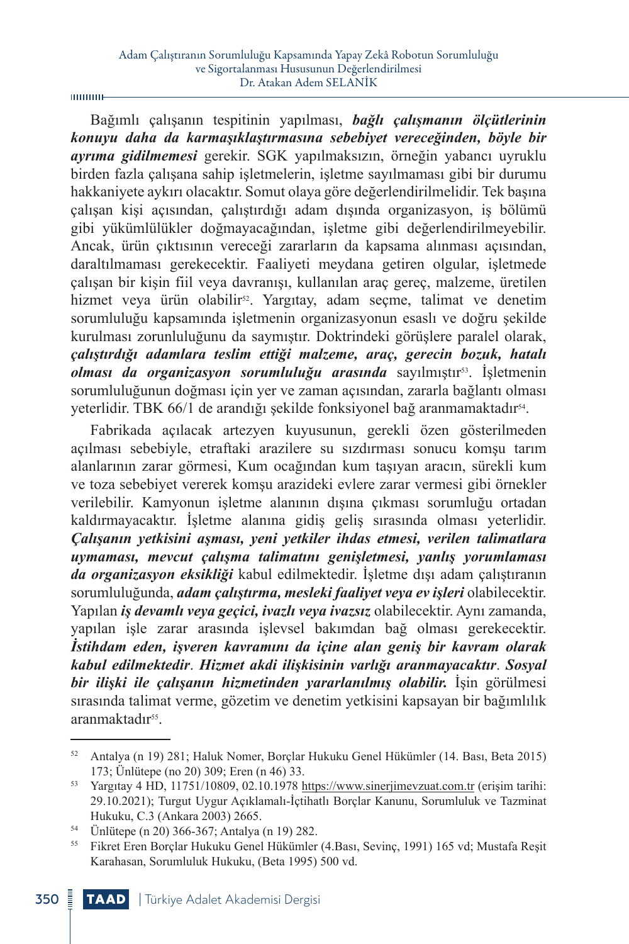Bağımlı çalışanın tespitinin yapılması, *bağlı çalışmanın ölçütlerinin konuyu daha da karmaşıklaştırmasına sebebiyet vereceğinden, böyle bir ayrıma gidilmemesi* gerekir. SGK yapılmaksızın, örneğin yabancı uyruklu birden fazla çalışana sahip işletmelerin, işletme sayılmaması gibi bir durumu hakkaniyete aykırı olacaktır. Somut olaya göre değerlendirilmelidir. Tek başına çalışan kişi açısından, çalıştırdığı adam dışında organizasyon, iş bölümü gibi yükümlülükler doğmayacağından, işletme gibi değerlendirilmeyebilir. Ancak, ürün çıktısının vereceği zararların da kapsama alınması açısından, daraltılmaması gerekecektir. Faaliyeti meydana getiren olgular, işletmede çalışan bir kişin fiil veya davranışı, kullanılan araç gereç, malzeme, üretilen hizmet veya ürün olabilir<sup>52</sup>. Yargıtay, adam seçme, talimat ve denetim sorumluluğu kapsamında işletmenin organizasyonun esaslı ve doğru şekilde kurulması zorunluluğunu da saymıştır. Doktrindeki görüşlere paralel olarak, *çalıştırdığı adamlara teslim ettiği malzeme, araç, gerecin bozuk, hatalı olması da organizasyon sorumluluğu arasında* sayılmıştır53. İşletmenin sorumluluğunun doğması için yer ve zaman açısından, zararla bağlantı olması yeterlidir. TBK 66/1 de arandığı şekilde fonksiyonel bağ aranmamaktadır<sup>54</sup>.

Fabrikada açılacak artezyen kuyusunun, gerekli özen gösterilmeden açılması sebebiyle, etraftaki arazilere su sızdırması sonucu komşu tarım alanlarının zarar görmesi, Kum ocağından kum taşıyan aracın, sürekli kum ve toza sebebiyet vererek komşu arazideki evlere zarar vermesi gibi örnekler verilebilir. Kamyonun işletme alanının dışına çıkması sorumluğu ortadan kaldırmayacaktır. İşletme alanına gidiş geliş sırasında olması yeterlidir. *Çalışanın yetkisini aşması, yeni yetkiler ihdas etmesi, verilen talimatlara uymaması, mevcut çalışma talimatını genişletmesi, yanlış yorumlaması da organizasyon eksikliği* kabul edilmektedir. İşletme dışı adam çalıştıranın sorumluluğunda, *adam çalıştırma, mesleki faaliyet veya ev işleri* olabilecektir. Yapılan *iş devamlı veya geçici, ivazlı veya ivazsız* olabilecektir. Aynı zamanda, yapılan işle zarar arasında işlevsel bakımdan bağ olması gerekecektir. *İstihdam eden, işveren kavramını da içine alan geniş bir kavram olarak kabul edilmektedir*. *Hizmet akdi ilişkisinin varlığı aranmayacaktır*. *Sosyal bir ilişki ile çalışanın hizmetinden yararlanılmış olabilir.* İşin görülmesi sırasında talimat verme, gözetim ve denetim yetkisini kapsayan bir bağımlılık aranmaktadır<sup>55</sup>.

<sup>52</sup> Antalya (n 19) 281; Haluk Nomer, Borçlar Hukuku Genel Hükümler (14. Bası, Beta 2015) 173; Ünlütepe (no 20) 309; Eren (n 46) 33.

<sup>53</sup> Yargıtay 4 HD, 11751/10809, 02.10.1978 <https://www.sinerjimevzuat.com.tr> (erişim tarihi: 29.10.2021); Turgut Uygur Açıklamalı-İçtihatlı Borçlar Kanunu, Sorumluluk ve Tazminat Hukuku, C.3 (Ankara 2003) 2665.

<sup>54</sup> Ünlütepe (n 20) 366-367; Antalya (n 19) 282.

<sup>55</sup> Fikret Eren Borçlar Hukuku Genel Hükümler (4.Bası, Sevinç, 1991) 165 vd; Mustafa Reşit Karahasan, Sorumluluk Hukuku, (Beta 1995) 500 vd.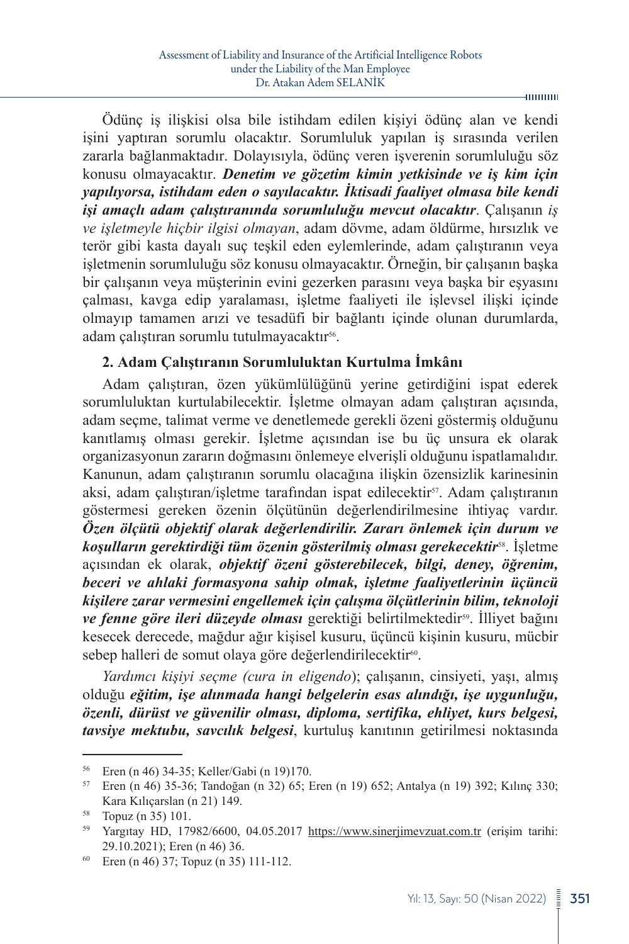Ödünç iş ilişkisi olsa bile istihdam edilen kişiyi ödünç alan ve kendi işini yaptıran sorumlu olacaktır. Sorumluluk yapılan iş sırasında verilen zararla bağlanmaktadır. Dolayısıyla, ödünç veren işverenin sorumluluğu söz konusu olmayacaktır. *Denetim ve gözetim kimin yetkisinde ve iş kim için yapılıyorsa, istihdam eden o sayılacaktır. İktisadi faaliyet olmasa bile kendi işi amaçlı adam çalıştıranında sorumluluğu mevcut olacaktır*. Çalışanın *iş ve işletmeyle hiçbir ilgisi olmayan*, adam dövme, adam öldürme, hırsızlık ve terör gibi kasta dayalı suç teşkil eden eylemlerinde, adam çalıştıranın veya işletmenin sorumluluğu söz konusu olmayacaktır. Örneğin, bir çalışanın başka bir çalışanın veya müşterinin evini gezerken parasını veya başka bir eşyasını çalması, kavga edip yaralaması, işletme faaliyeti ile işlevsel ilişki içinde olmayıp tamamen arızi ve tesadüfi bir bağlantı içinde olunan durumlarda, adam çalıştıran sorumlu tutulmayacaktır<sup>56</sup>.

### **2. Adam Çalıştıranın Sorumluluktan Kurtulma İmkânı**

Adam çalıştıran, özen yükümlülüğünü yerine getirdiğini ispat ederek sorumluluktan kurtulabilecektir. İşletme olmayan adam çalıştıran açısında, adam seçme, talimat verme ve denetlemede gerekli özeni göstermiş olduğunu kanıtlamış olması gerekir. İşletme açısından ise bu üç unsura ek olarak organizasyonun zararın doğmasını önlemeye elverişli olduğunu ispatlamalıdır. Kanunun, adam çalıştıranın sorumlu olacağına ilişkin özensizlik karinesinin aksi, adam çalıştıran/işletme tarafından ispat edilecektir<sup>57</sup>. Adam çalıştıranın göstermesi gereken özenin ölçütünün değerlendirilmesine ihtiyaç vardır. *Özen ölçütü objektif olarak değerlendirilir. Zararı önlemek için durum ve koşulların gerektirdiği tüm özenin gösterilmiş olması gerekecektir*58. İşletme açısından ek olarak, *objektif özeni gösterebilecek, bilgi, deney, öğrenim, beceri ve ahlaki formasyona sahip olmak, işletme faaliyetlerinin üçüncü kişilere zarar vermesini engellemek için çalışma ölçütlerinin bilim, teknoloji*  ve fenne göre ileri düzeyde olması gerektiği belirtilmektedir<sup>59</sup>. İlliyet bağını kesecek derecede, mağdur ağır kişisel kusuru, üçüncü kişinin kusuru, mücbir sebep halleri de somut olaya göre değerlendirilecektir<sup>60</sup>.

*Yardımcı kişiyi seçme (cura in eligendo*); çalışanın, cinsiyeti, yaşı, almış olduğu *eğitim, işe alınmada hangi belgelerin esas alındığı, işe uygunluğu, özenli, dürüst ve güvenilir olması, diploma, sertifika, ehliyet, kurs belgesi, tavsiye mektubu, savcılık belgesi*, kurtuluş kanıtının getirilmesi noktasında

-munun

<sup>56</sup> Eren (n 46) 34-35; Keller/Gabi (n 19)170.

<sup>57</sup> Eren (n 46) 35-36; Tandoğan (n 32) 65; Eren (n 19) 652; Antalya (n 19) 392; Kılınç 330; Kara Kılıçarslan (n 21) 149.

<sup>58</sup> Topuz (n 35) 101.

<sup>59</sup> Yargıtay HD, 17982/6600, 04.05.2017 <https://www.sinerjimevzuat.com.tr>(erişim tarihi: 29.10.2021); Eren (n 46) 36.

<sup>60</sup> Eren (n 46) 37; Topuz (n 35) 111-112.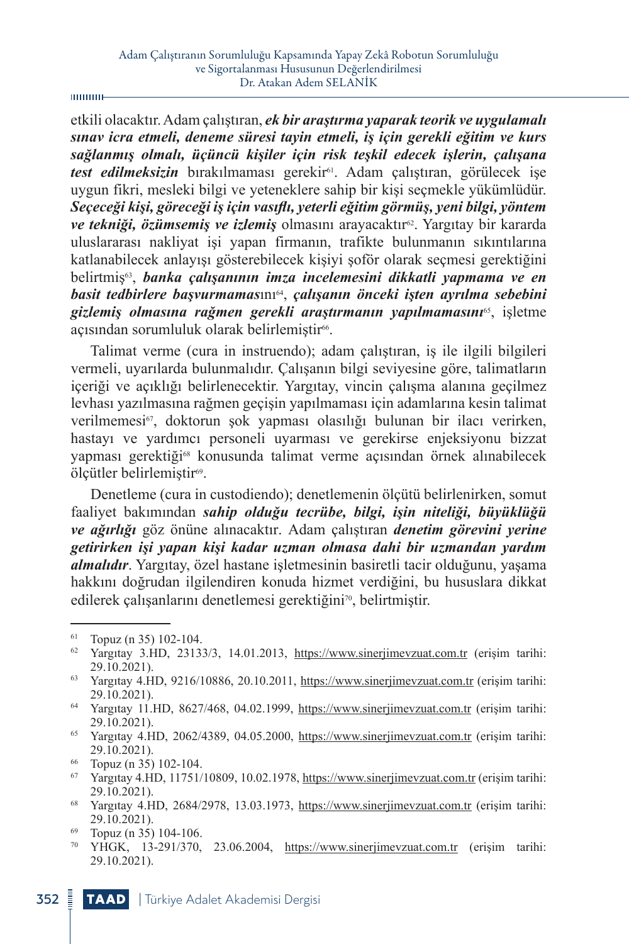#### шинин

etkili olacaktır. Adam çalıştıran, *ek bir araştırma yaparak teorik ve uygulamalı sınav icra etmeli, deneme süresi tayin etmeli, iş için gerekli eğitim ve kurs sağlanmış olmalı, üçüncü kişiler için risk teşkil edecek işlerin, çalışana*  test edilmeksizin bırakılmaması gerekir<sup>61</sup>. Adam çalıştıran, görülecek ise uygun fikri, mesleki bilgi ve yeteneklere sahip bir kişi seçmekle yükümlüdür. *Seçeceği kişi, göreceği iş için vasıflı, yeterli eğitim görmüş, yeni bilgi, yöntem*  ve tekniği, özümsemiş ve izlemiş olmasını arayacaktır<sup>62</sup>. Yargıtay bir kararda uluslararası nakliyat işi yapan firmanın, trafikte bulunmanın sıkıntılarına katlanabilecek anlayışı gösterebilecek kişiyi şoför olarak seçmesi gerektiğini belirtmiş63, *banka çalışanının imza incelemesini dikkatli yapmama ve en basit tedbirlere başvurmamas*ını64, *çalışanın önceki işten ayrılma sebebini gizlemiş olmasına rağmen gerekli araştırmanın yapılmamasını*65, işletme açısından sorumluluk olarak belirlemiştir<sup>66</sup>.

Talimat verme (cura in instruendo); adam çalıştıran, iş ile ilgili bilgileri vermeli, uyarılarda bulunmalıdır. Çalışanın bilgi seviyesine göre, talimatların içeriği ve açıklığı belirlenecektir. Yargıtay, vincin çalışma alanına geçilmez levhası yazılmasına rağmen geçişin yapılmaması için adamlarına kesin talimat verilmemesi<sup>67</sup>, doktorun şok yapması olasılığı bulunan bir ilacı verirken, hastayı ve yardımcı personeli uyarması ve gerekirse enjeksiyonu bizzat yapması gerektiği68 konusunda talimat verme açısından örnek alınabilecek ölçütler belirlemiştir<sup>69</sup>.

Denetleme (cura in custodiendo); denetlemenin ölçütü belirlenirken, somut faaliyet bakımından *sahip olduğu tecrübe, bilgi, işin niteliği, büyüklüğü ve ağırlığı* göz önüne alınacaktır. Adam çalıştıran *denetim görevini yerine getirirken işi yapan kişi kadar uzman olmasa dahi bir uzmandan yardım almalıdır*. Yargıtay, özel hastane işletmesinin basiretli tacir olduğunu, yaşama hakkını doğrudan ilgilendiren konuda hizmet verdiğini, bu hususlara dikkat edilerek çalışanlarını denetlemesi gerektiğini<sup>70</sup>, belirtmiştir.

<sup>65</sup> Yargıtay 4.HD, 2062/4389, 04.05.2000, <https://www.sinerjimevzuat.com.tr>(erişim tarihi: 29.10.2021).

<sup>61</sup> Topuz (n 35) 102-104.

<sup>&</sup>lt;sup>62</sup> Yargıtay 3.HD, 23133/3, 14.01.2013, <https://www.sinerjimevzuat.com.tr>(erişim tarihi: 29.10.2021).

<sup>63</sup> Yargıtay 4.HD, 9216/10886, 20.10.2011, <https://www.sinerjimevzuat.com.tr> (erişim tarihi: 29.10.2021).

<sup>64</sup> Yargıtay 11.HD, 8627/468, 04.02.1999, <https://www.sinerjimevzuat.com.tr>(erişim tarihi: 29.10.2021).

<sup>66</sup> Topuz (n 35) 102-104.

<sup>67</sup> Yargıtay 4.HD, 11751/10809, 10.02.1978,<https://www.sinerjimevzuat.com.tr>(erişim tarihi: 29.10.2021).

<sup>68</sup> Yargıtay 4.HD, 2684/2978, 13.03.1973, <https://www.sinerjimevzuat.com.tr>(erişim tarihi: 29.10.2021).

<sup>69</sup> Topuz (n 35) 104-106.

<sup>70</sup> YHGK, 13-291/370, 23.06.2004, <https://www.sinerjimevzuat.com.tr> (erişim tarihi: 29.10.2021).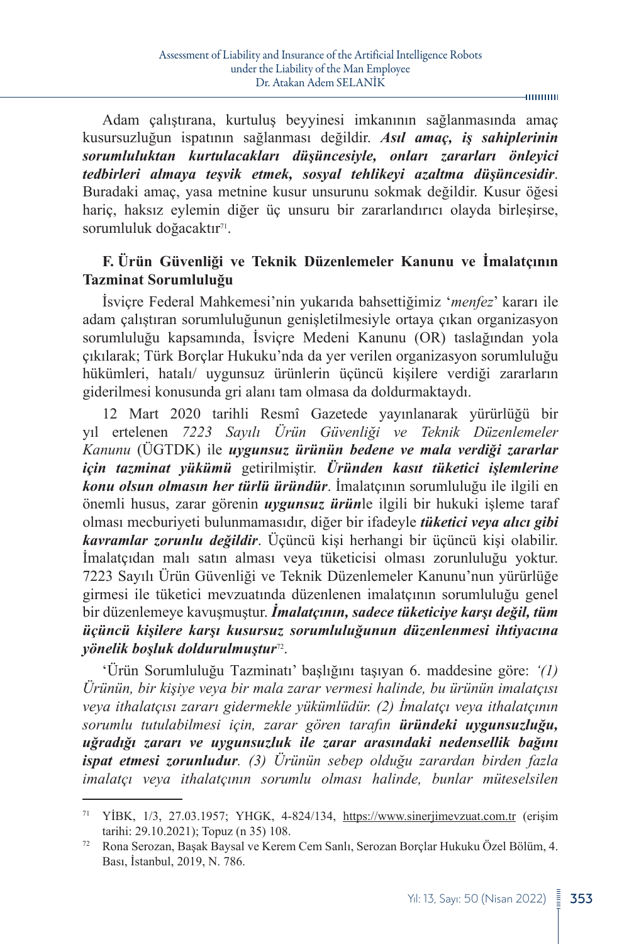Adam çalıştırana, kurtuluş beyyinesi imkanının sağlanmasında amaç kusursuzluğun ispatının sağlanması değildir. *Asıl amaç, iş sahiplerinin sorumluluktan kurtulacakları düşüncesiyle, onları zararları önleyici tedbirleri almaya teşvik etmek, sosyal tehlikeyi azaltma düşüncesidir*. Buradaki amaç, yasa metnine kusur unsurunu sokmak değildir. Kusur öğesi hariç, haksız eylemin diğer üç unsuru bir zararlandırıcı olayda birleşirse, sorumluluk doğacaktır<sup>71</sup>.

## **F. Ürün Güvenliği ve Teknik Düzenlemeler Kanunu ve İmalatçının Tazminat Sorumluluğu**

İsviçre Federal Mahkemesi'nin yukarıda bahsettiğimiz '*menfez*' kararı ile adam çalıştıran sorumluluğunun genişletilmesiyle ortaya çıkan organizasyon sorumluluğu kapsamında, İsviçre Medeni Kanunu (OR) taslağından yola çıkılarak; Türk Borçlar Hukuku'nda da yer verilen organizasyon sorumluluğu hükümleri, hatalı/ uygunsuz ürünlerin üçüncü kişilere verdiği zararların giderilmesi konusunda gri alanı tam olmasa da doldurmaktaydı.

12 Mart 2020 tarihli Resmî Gazetede yayınlanarak yürürlüğü bir yıl ertelenen *[7223 Sayılı Ürün Güvenliği ve Teknik Düzenlemeler](https://www.lexpera.com.tr/mevzuat/kanunlar/urun-guvenligi-ve-teknik-duzenlemeler-kanunu-7223)  [Kanunu](https://www.lexpera.com.tr/mevzuat/kanunlar/urun-guvenligi-ve-teknik-duzenlemeler-kanunu-7223)* (ÜGTDK) ile *uygunsuz ürünün bedene ve mala verdiği zararlar için tazminat yükümü* getirilmiştir. *Üründen kasıt tüketici işlemlerine konu olsun olmasın her türlü üründür*. İmalatçının sorumluluğu ile ilgili en önemli husus, zarar görenin *uygunsuz ürün*le ilgili bir hukuki işleme taraf olması mecburiyeti bulunmamasıdır, diğer bir ifadeyle *tüketici veya alıcı gibi kavramlar zorunlu değildir*. Üçüncü kişi herhangi bir üçüncü kişi olabilir. İmalatçıdan malı satın alması veya tüketicisi olması zorunluluğu yoktur. [7223 Sayılı Ürün Güvenliği ve Teknik Düzenlemeler Kanunu](https://www.lexpera.com.tr/mevzuat/kanunlar/urun-guvenligi-ve-teknik-duzenlemeler-kanunu-7223)'nun yürürlüğe girmesi ile tüketici mevzuatında düzenlenen imalatçının sorumluluğu genel bir düzenlemeye kavuşmuştur. *İmalatçının, sadece tüketiciye karşı değil, tüm üçüncü kişilere karşı kusursuz sorumluluğunun düzenlenmesi ihtiyacına yönelik boşluk doldurulmuştur*72.

'Ürün Sorumluluğu Tazminatı' başlığını taşıyan [6. maddesine](https://www.lexpera.com.tr/mevzuat/kanunlar/urun-guvenligi-ve-teknik-duzenlemeler-kanunu-7223/madde-6) göre: *'(1) Ürünün, bir kişiye veya bir mala zarar vermesi halinde, bu ürünün imalatçısı veya ithalatçısı zararı gidermekle yükümlüdür. (2) İmalatçı veya ithalatçının sorumlu tutulabilmesi için, zarar gören tarafın üründeki uygunsuzluğu, uğradığı zararı ve uygunsuzluk ile zarar arasındaki nedensellik bağını ispat etmesi zorunludur. (3) Ürünün sebep olduğu zarardan birden fazla imalatçı veya ithalatçının sorumlu olması halinde, bunlar müteselsilen* 

<sup>71</sup> YİBK, 1/3, 27.03.1957; YHGK, 4-824/134, <https://www.sinerjimevzuat.com.tr>(erişim tarihi: 29.10.2021); Topuz (n 35) 108.

<sup>72</sup> Rona Serozan, Başak Baysal ve Kerem Cem Sanlı, Serozan Borçlar Hukuku Özel Bölüm, 4. Bası, İstanbul, 2019, N. 786.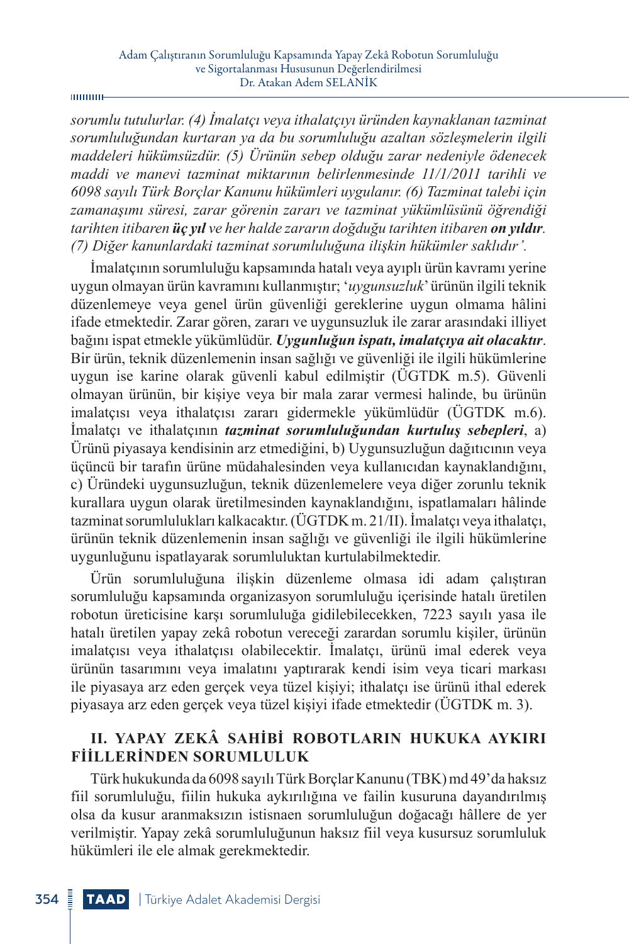#### **munu**-

*sorumlu tutulurlar. (4) İmalatçı veya ithalatçıyı üründen kaynaklanan tazminat sorumluluğundan kurtaran ya da bu sorumluluğu azaltan sözleşmelerin ilgili maddeleri hükümsüzdür. (5) Ürünün sebep olduğu zarar nedeniyle ödenecek maddi ve manevi tazminat miktarının belirlenmesinde 11/1/2011 tarihli ve 6098 sayılı Türk Borçlar Kanunu hükümleri uygulanır. (6) Tazminat talebi için zamanaşımı süresi, zarar görenin zararı ve tazminat yükümlüsünü öğrendiği tarihten itibaren üç yıl ve her halde zararın doğduğu tarihten itibaren on yıldır. (7) Diğer kanunlardaki tazminat sorumluluğuna ilişkin hükümler saklıdır'.* 

İmalatçının sorumluluğu kapsamında hatalı veya ayıplı ürün kavramı yerine uygun olmayan ürün kavramını kullanmıştır; '*uygunsuzluk*' ürünün ilgili teknik düzenlemeye veya genel ürün güvenliği gereklerine uygun olmama hâlini ifade etmektedir. Zarar gören, zararı ve uygunsuzluk ile zarar arasındaki illiyet bağını ispat etmekle yükümlüdür. *Uygunluğun ispatı, imalatçıya ait olacaktır*. Bir ürün, teknik düzenlemenin insan sağlığı ve güvenliği ile ilgili hükümlerine uygun ise karine olarak güvenli kabul edilmiştir [\(ÜGTDK m.5\). G](https://www.lexpera.com.tr/mevzuat/kanunlar/urun-guvenligi-ve-teknik-duzenlemeler-kanunu-7223/madde-5)üvenli olmayan ürünün, bir kişiye veya bir mala zarar vermesi halinde, bu ürünün imalatçısı veya ithalatçısı zararı gidermekle yükümlüdür (ÜGTDK m.6). İmalatçı ve ithalatçının *tazminat sorumluluğundan kurtuluş sebepleri*, a) Ürünü piyasaya kendisinin arz etmediğini, b) Uygunsuzluğun dağıtıcının veya üçüncü bir tarafın ürüne müdahalesinden veya kullanıcıdan kaynaklandığını, c) Üründeki uygunsuzluğun, teknik düzenlemelere veya diğer zorunlu teknik kurallara uygun olarak üretilmesinden kaynaklandığını, ispatlamaları hâlinde tazminat sorumlulukları kalkacaktır. [\(ÜGTDK m. 21/II\)](https://www.lexpera.com.tr/mevzuat/kanunlar/urun-guvenligi-ve-teknik-duzenlemeler-kanunu-7223/madde-3). İmalatçı veya ithalatçı, ürünün teknik düzenlemenin insan sağlığı ve güvenliği ile ilgili hükümlerine uygunluğunu ispatlayarak sorumluluktan kurtulabilmektedir.

Ürün sorumluluğuna ilişkin düzenleme olmasa idi adam çalıştıran sorumluluğu kapsamında organizasyon sorumluluğu içerisinde hatalı üretilen robotun üreticisine karşı sorumluluğa gidilebilecekken, 7223 sayılı yasa ile hatalı üretilen yapay zekâ robotun vereceği zarardan sorumlu kişiler, ürünün imalatçısı veya ithalatçısı olabilecektir. İmalatçı, ürünü imal ederek veya ürünün tasarımını veya imalatını yaptırarak kendi isim veya ticari markası ile piyasaya arz eden gerçek veya tüzel kişiyi; ithalatçı ise ürünü ithal ederek piyasaya arz eden gerçek veya tüzel kişiyi ifade etmektedir [\(ÜGTDK m. 3\)](https://www.lexpera.com.tr/mevzuat/kanunlar/urun-guvenligi-ve-teknik-duzenlemeler-kanunu-7223/madde-3).

# **II. YAPAY ZEKÂ SAHIBI ROBOTLARIN HUKUKA AYKIRI FIILLERINDEN SORUMLULUK**

Türk hukukunda da 6098 sayılı Türk Borçlar Kanunu (TBK) md 49'da haksız fiil sorumluluğu, fiilin hukuka aykırılığına ve failin kusuruna dayandırılmış olsa da kusur aranmaksızın istisnaen sorumluluğun doğacağı hâllere de yer verilmiştir. Yapay zekâ sorumluluğunun haksız fiil veya kusursuz sorumluluk hükümleri ile ele almak gerekmektedir.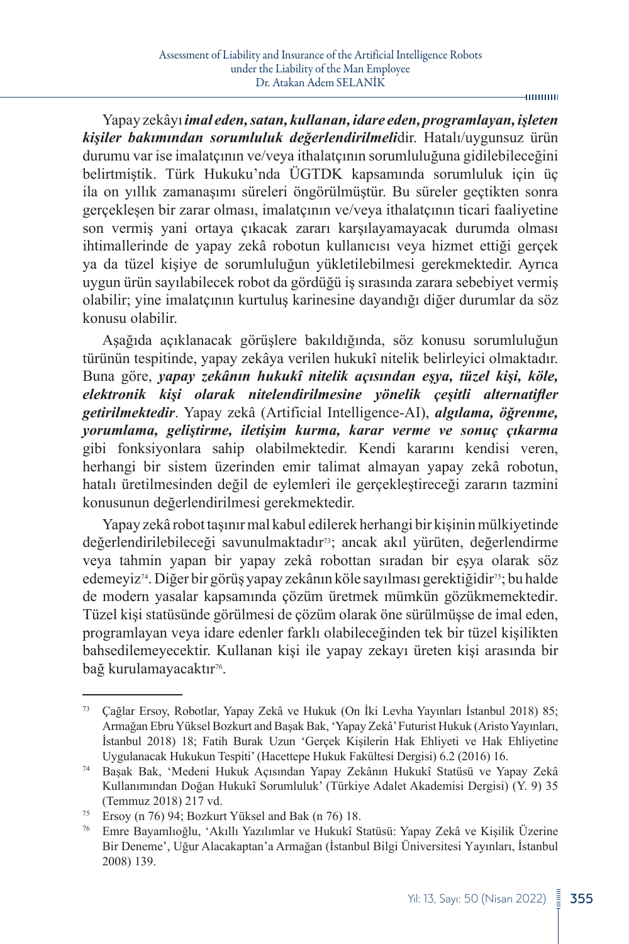#### $-$ **mmm**

Yapay zekâyı *imal eden, satan, kullanan, idare eden, programlayan, işleten kişiler bakımından sorumluluk değerlendirilmeli*dir. Hatalı/uygunsuz ürün durumu var ise imalatçının ve/veya ithalatçının sorumluluğuna gidilebileceğini belirtmiştik. Türk Hukuku'nda ÜGTDK kapsamında sorumluluk için üç ila on yıllık zamanaşımı süreleri öngörülmüştür. Bu süreler geçtikten sonra gerçekleşen bir zarar olması, imalatçının ve/veya ithalatçının ticari faaliyetine son vermiş yani ortaya çıkacak zararı karşılayamayacak durumda olması ihtimallerinde de yapay zekâ robotun kullanıcısı veya hizmet ettiği gerçek ya da tüzel kişiye de sorumluluğun yükletilebilmesi gerekmektedir. Ayrıca uygun ürün sayılabilecek robot da gördüğü iş sırasında zarara sebebiyet vermiş olabilir; yine imalatçının kurtuluş karinesine dayandığı diğer durumlar da söz konusu olabilir.

Aşağıda açıklanacak görüşlere bakıldığında, söz konusu sorumluluğun türünün tespitinde, yapay zekâya verilen hukukî nitelik belirleyici olmaktadır. Buna göre, *yapay zekânın hukukî nitelik açısından eşya, tüzel kişi, köle, elektronik kişi olarak nitelendirilmesine yönelik çeşitli alternatifler getirilmektedir*. Yapay zekâ (Artificial Intelligence-AI), *algılama, öğrenme, yorumlama, geliştirme, iletişim kurma, karar verme ve sonuç çıkarma* gibi fonksiyonlara sahip olabilmektedir. Kendi kararını kendisi veren, herhangi bir sistem üzerinden emir talimat almayan yapay zekâ robotun, hatalı üretilmesinden değil de eylemleri ile gerçekleştireceği zararın tazmini konusunun değerlendirilmesi gerekmektedir.

Yapay zekâ robot taşınır mal kabul edilerek herhangi bir kişinin mülkiyetinde değerlendirilebileceği savunulmaktadır73; ancak akıl yürüten, değerlendirme veya tahmin yapan bir yapay zekâ robottan sıradan bir eşya olarak söz edemeyiz74. Diğer bir görüş yapay zekânın köle sayılması gerektiğidir75; bu halde de modern yasalar kapsamında çözüm üretmek mümkün gözükmemektedir. Tüzel kişi statüsünde görülmesi de çözüm olarak öne sürülmüşse de imal eden, programlayan veya idare edenler farklı olabileceğinden tek bir tüzel kişilikten bahsedilemeyecektir. Kullanan kişi ile yapay zekayı üreten kişi arasında bir bağ kurulamayacaktır<sup>76</sup>.

<sup>73</sup> Çağlar Ersoy, Robotlar, Yapay Zekâ ve Hukuk (On İki Levha Yayınları İstanbul 2018) 85; Armağan Ebru Yüksel Bozkurt and Başak Bak, 'Yapay Zekâ' Futurist Hukuk (Aristo Yayınları, İstanbul 2018) 18; Fatih Burak Uzun 'Gerçek Kişilerin Hak Ehliyeti ve Hak Ehliyetine Uygulanacak Hukukun Tespiti' (Hacettepe Hukuk Fakültesi Dergisi) 6.2 (2016) 16.

<sup>74</sup> Başak Bak, 'Medeni Hukuk Açısından Yapay Zekânın Hukukî Statüsü ve Yapay Zekâ Kullanımından Doğan Hukukî Sorumluluk' (Türkiye Adalet Akademisi Dergisi) (Y. 9) 35 (Temmuz 2018) 217 vd.

<sup>&</sup>lt;sup>75</sup> Ersoy (n 76) 94; Bozkurt Yüksel and Bak (n 76) 18.

<sup>76</sup> Emre Bayamlıoğlu, 'Akıllı Yazılımlar ve Hukukî Statüsü: Yapay Zekâ ve Kişilik Üzerine Bir Deneme', Uğur Alacakaptan'a Armağan (İstanbul Bilgi Üniversitesi Yayınları, İstanbul 2008) 139.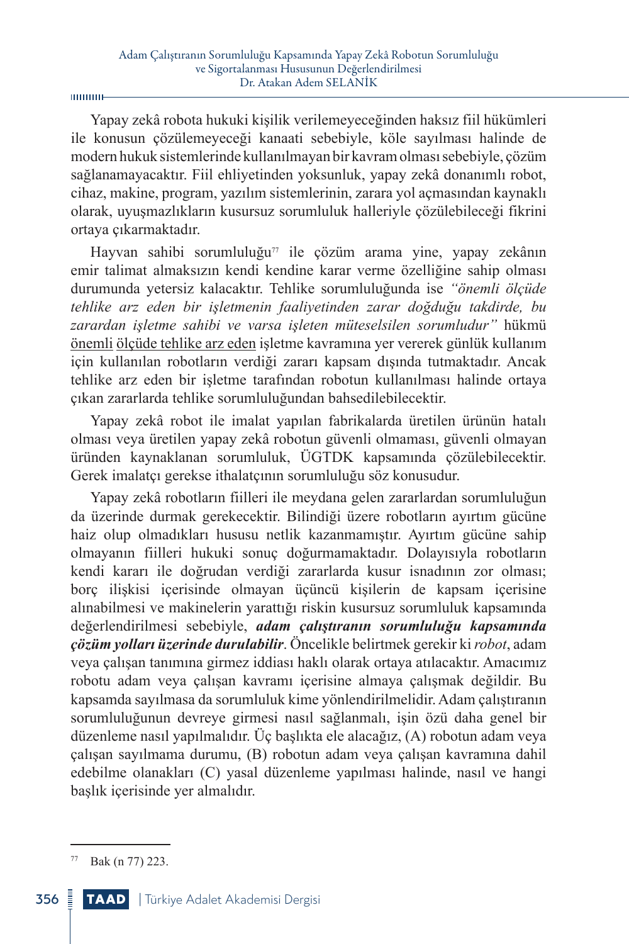Yapay zekâ robota hukuki kişilik verilemeyeceğinden haksız fiil hükümleri ile konusun çözülemeyeceği kanaati sebebiyle, köle sayılması halinde de modern hukuk sistemlerinde kullanılmayan bir kavram olması sebebiyle, çözüm sağlanamayacaktır. Fiil ehliyetinden yoksunluk, yapay zekâ donanımlı robot, cihaz, makine, program, yazılım sistemlerinin, zarara yol açmasından kaynaklı olarak, uyuşmazlıkların kusursuz sorumluluk halleriyle çözülebileceği fikrini ortaya çıkarmaktadır.

Hayvan sahibi sorumluluğu<sup> $\pi$ </sup> ile çözüm arama yine, yapay zekânın emir talimat almaksızın kendi kendine karar verme özelliğine sahip olması durumunda yetersiz kalacaktır. Tehlike sorumluluğunda ise *"önemli ölçüde tehlike arz eden bir işletmenin faaliyetinden zarar doğduğu takdirde, bu zarardan işletme sahibi ve varsa işleten müteselsilen sorumludur"* hükmü önemli ölçüde tehlike arz eden işletme kavramına yer vererek günlük kullanım için kullanılan robotların verdiği zararı kapsam dışında tutmaktadır. Ancak tehlike arz eden bir işletme tarafından robotun kullanılması halinde ortaya çıkan zararlarda tehlike sorumluluğundan bahsedilebilecektir.

Yapay zekâ robot ile imalat yapılan fabrikalarda üretilen ürünün hatalı olması veya üretilen yapay zekâ robotun güvenli olmaması, güvenli olmayan üründen kaynaklanan sorumluluk, ÜGTDK kapsamında çözülebilecektir. Gerek imalatçı gerekse ithalatçının sorumluluğu söz konusudur.

Yapay zekâ robotların fiilleri ile meydana gelen zararlardan sorumluluğun da üzerinde durmak gerekecektir. Bilindiği üzere robotların ayırtım gücüne haiz olup olmadıkları hususu netlik kazanmamıştır. Ayırtım gücüne sahip olmayanın fiilleri hukuki sonuç doğurmamaktadır. Dolayısıyla robotların kendi kararı ile doğrudan verdiği zararlarda kusur isnadının zor olması; borç ilişkisi içerisinde olmayan üçüncü kişilerin de kapsam içerisine alınabilmesi ve makinelerin yarattığı riskin kusursuz sorumluluk kapsamında değerlendirilmesi sebebiyle, *adam çalıştıranın sorumluluğu kapsamında çözüm yolları üzerinde durulabilir*. Öncelikle belirtmek gerekir ki *robot*, adam veya çalışan tanımına girmez iddiası haklı olarak ortaya atılacaktır. Amacımız robotu adam veya çalışan kavramı içerisine almaya çalışmak değildir. Bu kapsamda sayılmasa da sorumluluk kime yönlendirilmelidir. Adam çalıştıranın sorumluluğunun devreye girmesi nasıl sağlanmalı, işin özü daha genel bir düzenleme nasıl yapılmalıdır. Üç başlıkta ele alacağız, (A) robotun adam veya çalışan sayılmama durumu, (B) robotun adam veya çalışan kavramına dahil edebilme olanakları (C) yasal düzenleme yapılması halinde, nasıl ve hangi başlık içerisinde yer almalıdır.

 $77$  Bak (n 77) 223.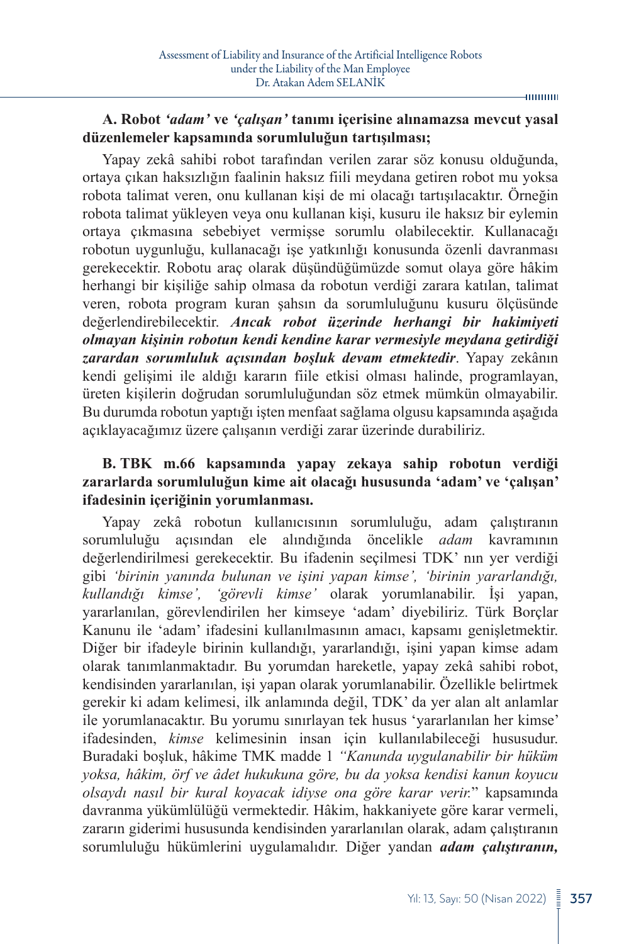#### **HIIIIIIIII**

### **A. Robot** *'adam'* **ve** *'çalışan'* **tanımı içerisine alınamazsa mevcut yasal düzenlemeler kapsamında sorumluluğun tartışılması;**

Yapay zekâ sahibi robot tarafından verilen zarar söz konusu olduğunda, ortaya çıkan haksızlığın faalinin haksız fiili meydana getiren robot mu yoksa robota talimat veren, onu kullanan kişi de mi olacağı tartışılacaktır. Örneğin robota talimat yükleyen veya onu kullanan kişi, kusuru ile haksız bir eylemin ortaya çıkmasına sebebiyet vermişse sorumlu olabilecektir. Kullanacağı robotun uygunluğu, kullanacağı işe yatkınlığı konusunda özenli davranması gerekecektir. Robotu araç olarak düşündüğümüzde somut olaya göre hâkim herhangi bir kişiliğe sahip olmasa da robotun verdiği zarara katılan, talimat veren, robota program kuran şahsın da sorumluluğunu kusuru ölçüsünde değerlendirebilecektir. *Ancak robot üzerinde herhangi bir hakimiyeti olmayan kişinin robotun kendi kendine karar vermesiyle meydana getirdiği zarardan sorumluluk açısından boşluk devam etmektedir*. Yapay zekânın kendi gelişimi ile aldığı kararın fiile etkisi olması halinde, programlayan, üreten kişilerin doğrudan sorumluluğundan söz etmek mümkün olmayabilir. Bu durumda robotun yaptığı işten menfaat sağlama olgusu kapsamında aşağıda açıklayacağımız üzere çalışanın verdiği zarar üzerinde durabiliriz.

### **B. TBK m.66 kapsamında yapay zekaya sahip robotun verdiği zararlarda sorumluluğun kime ait olacağı hususunda 'adam' ve 'çalışan' ifadesinin içeriğinin yorumlanması.**

Yapay zekâ robotun kullanıcısının sorumluluğu, adam çalıştıranın sorumluluğu açısından ele alındığında öncelikle *adam* kavramının değerlendirilmesi gerekecektir. Bu ifadenin seçilmesi TDK' nın yer verdiği gibi *'birinin yanında bulunan ve işini yapan kimse', 'birinin yararlandığı, kullandığı kimse', 'görevli kimse'* olarak yorumlanabilir. İşi yapan, yararlanılan, görevlendirilen her kimseye 'adam' diyebiliriz. Türk Borçlar Kanunu ile 'adam' ifadesini kullanılmasının amacı, kapsamı genişletmektir. Diğer bir ifadeyle birinin kullandığı, yararlandığı, işini yapan kimse adam olarak tanımlanmaktadır. Bu yorumdan hareketle, yapay zekâ sahibi robot, kendisinden yararlanılan, işi yapan olarak yorumlanabilir. Özellikle belirtmek gerekir ki adam kelimesi, ilk anlamında değil, TDK' da yer alan alt anlamlar ile yorumlanacaktır. Bu yorumu sınırlayan tek husus 'yararlanılan her kimse' ifadesinden, *kimse* kelimesinin insan için kullanılabileceği hususudur. Buradaki boşluk, hâkime TMK madde 1 *"Kanunda uygulanabilir bir hüküm yoksa, hâkim, örf ve âdet hukukuna göre, bu da yoksa kendisi kanun koyucu olsaydı nasıl bir kural koyacak idiyse ona göre karar verir.*" kapsamında davranma yükümlülüğü vermektedir. Hâkim, hakkaniyete göre karar vermeli, zararın giderimi hususunda kendisinden yararlanılan olarak, adam çalıştıranın sorumluluğu hükümlerini uygulamalıdır. Diğer yandan *adam çalıştıranın,*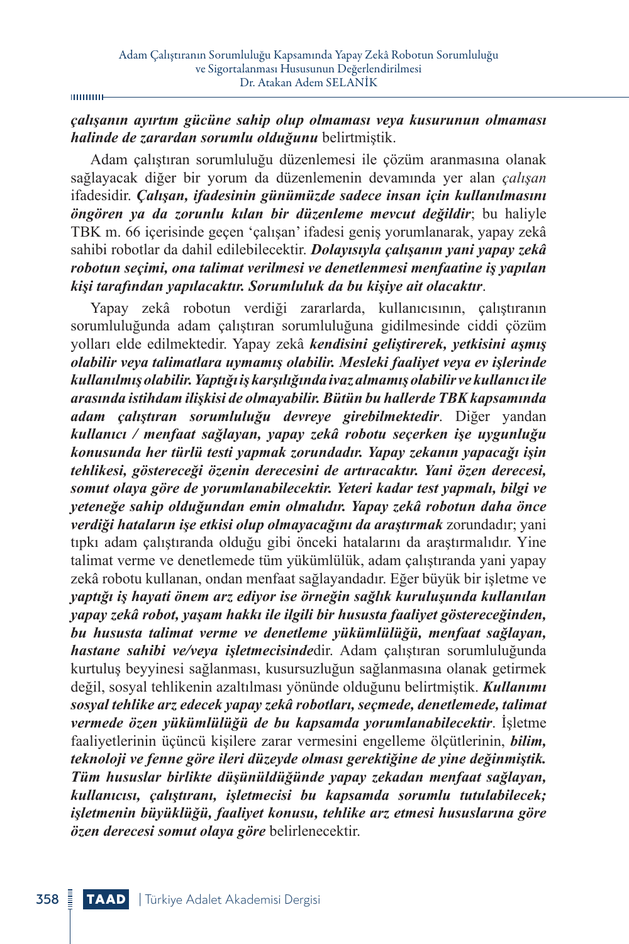#### шинин

### *çalışanın ayırtım gücüne sahip olup olmaması veya kusurunun olmaması halinde de zarardan sorumlu olduğunu* belirtmiştik.

Adam çalıştıran sorumluluğu düzenlemesi ile çözüm aranmasına olanak sağlayacak diğer bir yorum da düzenlemenin devamında yer alan *çalışan* ifadesidir. *Çalışan, ifadesinin günümüzde sadece insan için kullanılmasını öngören ya da zorunlu kılan bir düzenleme mevcut değildir*; bu haliyle TBK m. 66 içerisinde geçen 'çalışan' ifadesi geniş yorumlanarak, yapay zekâ sahibi robotlar da dahil edilebilecektir. *Dolayısıyla çalışanın yani yapay zekâ robotun seçimi, ona talimat verilmesi ve denetlenmesi menfaatine iş yapılan kişi tarafından yapılacaktır. Sorumluluk da bu kişiye ait olacaktır*.

Yapay zekâ robotun verdiği zararlarda, kullanıcısının, çalıştıranın sorumluluğunda adam çalıştıran sorumluluğuna gidilmesinde ciddi çözüm yolları elde edilmektedir. Yapay zekâ *kendisini geliştirerek, yetkisini aşmış olabilir veya talimatlara uymamış olabilir. Mesleki faaliyet veya ev işlerinde kullanılmış olabilir. Yaptığı iş karşılığında ivaz almamış olabilir ve kullanıcı ile arasında istihdam ilişkisi de olmayabilir. Bütün bu hallerde TBK kapsamında adam çalıştıran sorumluluğu devreye girebilmektedir*. Diğer yandan *kullanıcı / menfaat sağlayan, yapay zekâ robotu seçerken işe uygunluğu konusunda her türlü testi yapmak zorundadır. Yapay zekanın yapacağı işin tehlikesi, göstereceği özenin derecesini de artıracaktır. Yani özen derecesi, somut olaya göre de yorumlanabilecektir. Yeteri kadar test yapmalı, bilgi ve yeteneğe sahip olduğundan emin olmalıdır. Yapay zekâ robotun daha önce verdiği hataların işe etkisi olup olmayacağını da araştırmak* zorundadır; yani tıpkı adam çalıştıranda olduğu gibi önceki hatalarını da araştırmalıdır. Yine talimat verme ve denetlemede tüm yükümlülük, adam çalıştıranda yani yapay zekâ robotu kullanan, ondan menfaat sağlayandadır. Eğer büyük bir işletme ve *yaptığı iş hayati önem arz ediyor ise örneğin sağlık kuruluşunda kullanılan yapay zekâ robot, yaşam hakkı ile ilgili bir hususta faaliyet göstereceğinden, bu hususta talimat verme ve denetleme yükümlülüğü, menfaat sağlayan, hastane sahibi ve/veya işletmecisinde*dir. Adam çalıştıran sorumluluğunda kurtuluş beyyinesi sağlanması, kusursuzluğun sağlanmasına olanak getirmek değil, sosyal tehlikenin azaltılması yönünde olduğunu belirtmiştik. *Kullanımı sosyal tehlike arz edecek yapay zekâ robotları, seçmede, denetlemede, talimat vermede özen yükümlülüğü de bu kapsamda yorumlanabilecektir*. İşletme faaliyetlerinin üçüncü kişilere zarar vermesini engelleme ölçütlerinin, *bilim, teknoloji ve fenne göre ileri düzeyde olması gerektiğine de yine değinmiştik. Tüm hususlar birlikte düşünüldüğünde yapay zekadan menfaat sağlayan, kullanıcısı, çalıştıranı, işletmecisi bu kapsamda sorumlu tutulabilecek; işletmenin büyüklüğü, faaliyet konusu, tehlike arz etmesi hususlarına göre özen derecesi somut olaya göre* belirlenecektir.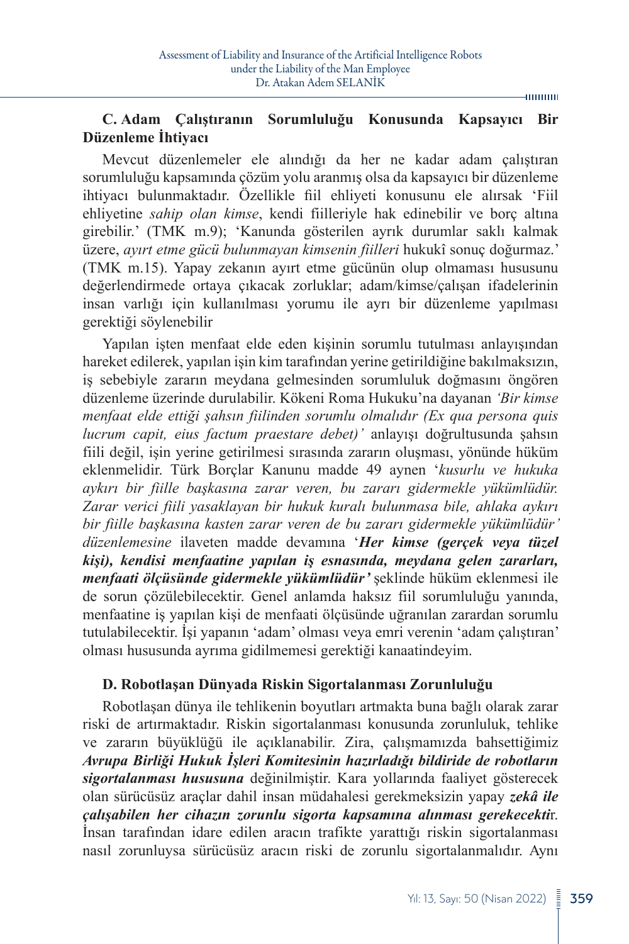**HIIIIIIIII** 

## **C. Adam Çalıştıranın Sorumluluğu Konusunda Kapsayıcı Bir Düzenleme İhtiyacı**

Mevcut düzenlemeler ele alındığı da her ne kadar adam çalıştıran sorumluluğu kapsamında çözüm yolu aranmış olsa da kapsayıcı bir düzenleme ihtiyacı bulunmaktadır. Özellikle fiil ehliyeti konusunu ele alırsak 'Fiil ehliyetine *sahip olan kimse*, kendi fiilleriyle hak edinebilir ve borç altına girebilir.' (TMK m.9); 'Kanunda gösterilen ayrık durumlar saklı kalmak üzere, *ayırt etme gücü bulunmayan kimsenin fiilleri* hukukî sonuç doğurmaz.' (TMK m.15). Yapay zekanın ayırt etme gücünün olup olmaması hususunu değerlendirmede ortaya çıkacak zorluklar; adam/kimse/çalışan ifadelerinin insan varlığı için kullanılması yorumu ile ayrı bir düzenleme yapılması gerektiği söylenebilir

Yapılan işten menfaat elde eden kişinin sorumlu tutulması anlayışından hareket edilerek, yapılan işin kim tarafından yerine getirildiğine bakılmaksızın, iş sebebiyle zararın meydana gelmesinden sorumluluk doğmasını öngören düzenleme üzerinde durulabilir. Kökeni Roma Hukuku'na dayanan *'Bir kimse menfaat elde ettiği şahsın fiilinden sorumlu olmalıdır (Ex qua persona quis lucrum capit, eius factum praestare debet)'* anlayışı doğrultusunda şahsın fiili değil, işin yerine getirilmesi sırasında zararın oluşması, yönünde hüküm eklenmelidir. Türk Borçlar Kanunu madde 49 aynen '*kusurlu ve hukuka aykırı bir fiille başkasına zarar veren, bu zararı gidermekle yükümlüdür. Zarar verici fiili yasaklayan bir hukuk kuralı bulunmasa bile, ahlaka aykırı bir fiille başkasına kasten zarar veren de bu zararı gidermekle yükümlüdür' düzenlemesine* ilaveten madde devamına '*Her kimse (gerçek veya tüzel kişi), kendisi menfaatine yapılan iş esnasında, meydana gelen zararları, menfaati ölçüsünde gidermekle yükümlüdür'* şeklinde hüküm eklenmesi ile de sorun çözülebilecektir. Genel anlamda haksız fiil sorumluluğu yanında, menfaatine iş yapılan kişi de menfaati ölçüsünde uğranılan zarardan sorumlu tutulabilecektir. İşi yapanın 'adam' olması veya emri verenin 'adam çalıştıran' olması hususunda ayrıma gidilmemesi gerektiği kanaatindeyim.

## **D. Robotlaşan Dünyada Riskin Sigortalanması Zorunluluğu**

Robotlaşan dünya ile tehlikenin boyutları artmakta buna bağlı olarak zarar riski de artırmaktadır. Riskin sigortalanması konusunda zorunluluk, tehlike ve zararın büyüklüğü ile açıklanabilir. Zira, çalışmamızda bahsettiğimiz *Avrupa Birliği Hukuk İşleri Komitesinin hazırladığı bildiride de robotların sigortalanması hususuna* değinilmiştir. Kara yollarında faaliyet gösterecek olan sürücüsüz araçlar dahil insan müdahalesi gerekmeksizin yapay *zekâ ile çalışabilen her cihazın zorunlu sigorta kapsamına alınması gerekecekti*r. İnsan tarafından idare edilen aracın trafikte yarattığı riskin sigortalanması nasıl zorunluysa sürücüsüz aracın riski de zorunlu sigortalanmalıdır. Aynı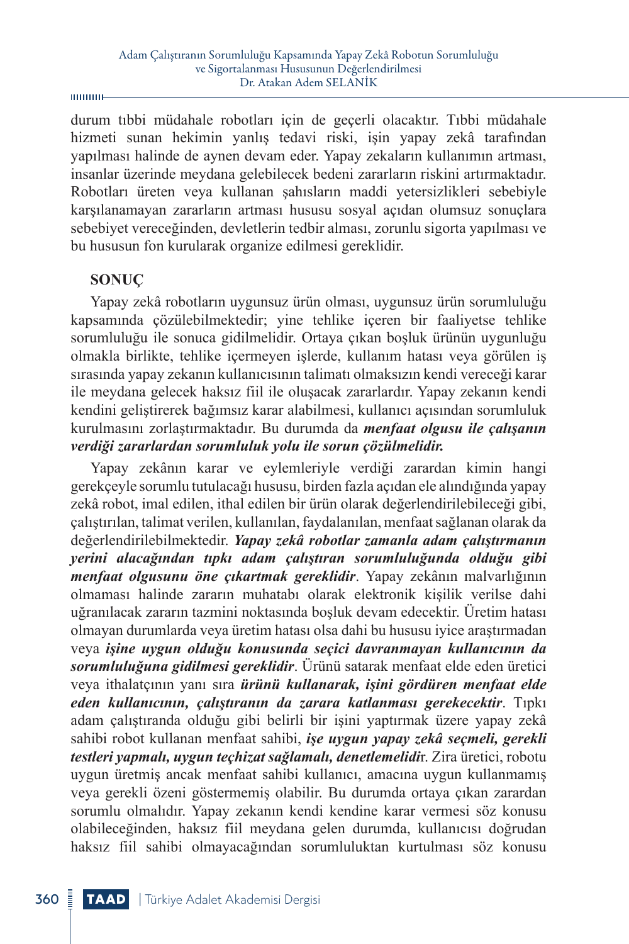**munu**-

durum tıbbi müdahale robotları için de geçerli olacaktır. Tıbbi müdahale hizmeti sunan hekimin yanlış tedavi riski, işin yapay zekâ tarafından yapılması halinde de aynen devam eder. Yapay zekaların kullanımın artması, insanlar üzerinde meydana gelebilecek bedeni zararların riskini artırmaktadır. Robotları üreten veya kullanan şahısların maddi yetersizlikleri sebebiyle karşılanamayan zararların artması hususu sosyal açıdan olumsuz sonuçlara sebebiyet vereceğinden, devletlerin tedbir alması, zorunlu sigorta yapılması ve bu hususun fon kurularak organize edilmesi gereklidir.

#### **SONUÇ**

Yapay zekâ robotların uygunsuz ürün olması, uygunsuz ürün sorumluluğu kapsamında çözülebilmektedir; yine tehlike içeren bir faaliyetse tehlike sorumluluğu ile sonuca gidilmelidir. Ortaya çıkan boşluk ürünün uygunluğu olmakla birlikte, tehlike içermeyen işlerde, kullanım hatası veya görülen iş sırasında yapay zekanın kullanıcısının talimatı olmaksızın kendi vereceği karar ile meydana gelecek haksız fiil ile oluşacak zararlardır. Yapay zekanın kendi kendini geliştirerek bağımsız karar alabilmesi, kullanıcı açısından sorumluluk kurulmasını zorlaştırmaktadır. Bu durumda da *menfaat olgusu ile çalışanın verdiği zararlardan sorumluluk yolu ile sorun çözülmelidir.*

Yapay zekânın karar ve eylemleriyle verdiği zarardan kimin hangi gerekçeyle sorumlu tutulacağı hususu, birden fazla açıdan ele alındığında yapay zekâ robot, imal edilen, ithal edilen bir ürün olarak değerlendirilebileceği gibi, çalıştırılan, talimat verilen, kullanılan, faydalanılan, menfaat sağlanan olarak da değerlendirilebilmektedir. *Yapay zekâ robotlar zamanla adam çalıştırmanın yerini alacağından tıpkı adam çalıştıran sorumluluğunda olduğu gibi menfaat olgusunu öne çıkartmak gereklidir*. Yapay zekânın malvarlığının olmaması halinde zararın muhatabı olarak elektronik kişilik verilse dahi uğranılacak zararın tazmini noktasında boşluk devam edecektir. Üretim hatası olmayan durumlarda veya üretim hatası olsa dahi bu hususu iyice araştırmadan veya *işine uygun olduğu konusunda seçici davranmayan kullanıcının da sorumluluğuna gidilmesi gereklidir*. Ürünü satarak menfaat elde eden üretici veya ithalatçının yanı sıra *ürünü kullanarak, işini gördüren menfaat elde eden kullanıcının, çalıştıranın da zarara katlanması gerekecektir*. Tıpkı adam çalıştıranda olduğu gibi belirli bir işini yaptırmak üzere yapay zekâ sahibi robot kullanan menfaat sahibi, *işe uygun yapay zekâ seçmeli, gerekli testleri yapmalı, uygun teçhizat sağlamalı, denetlemelidi*r. Zira üretici, robotu uygun üretmiş ancak menfaat sahibi kullanıcı, amacına uygun kullanmamış veya gerekli özeni göstermemiş olabilir. Bu durumda ortaya çıkan zarardan sorumlu olmalıdır. Yapay zekanın kendi kendine karar vermesi söz konusu olabileceğinden, haksız fiil meydana gelen durumda, kullanıcısı doğrudan haksız fiil sahibi olmayacağından sorumluluktan kurtulması söz konusu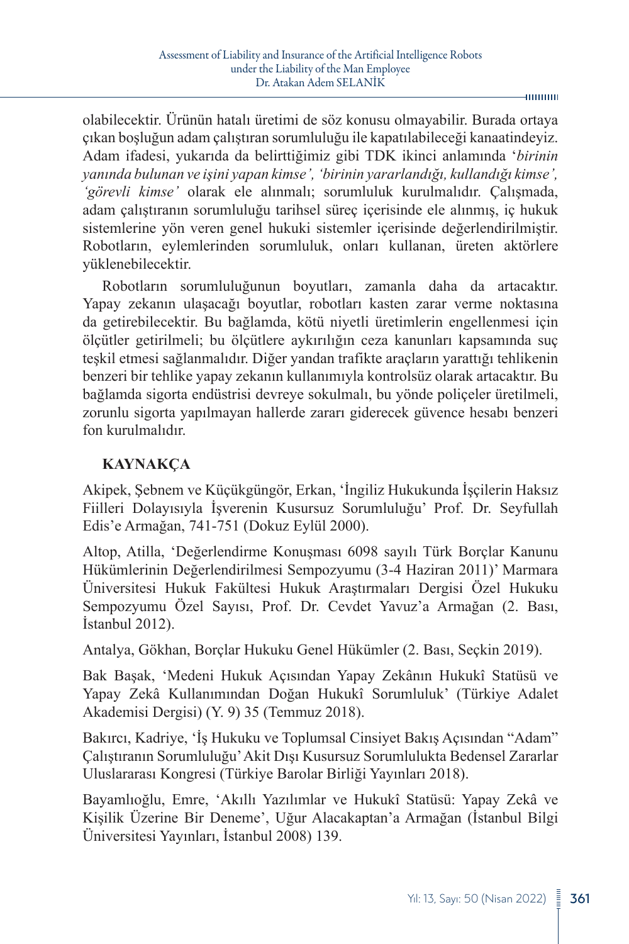olabilecektir. Ürünün hatalı üretimi de söz konusu olmayabilir. Burada ortaya çıkan boşluğun adam çalıştıran sorumluluğu ile kapatılabileceği kanaatindeyiz. Adam ifadesi, yukarıda da belirttiğimiz gibi TDK ikinci anlamında '*birinin yanında bulunan ve işini yapan kimse', 'birinin yararlandığı, kullandığı kimse', 'görevli kimse'* olarak ele alınmalı; sorumluluk kurulmalıdır. Çalışmada, adam çalıştıranın sorumluluğu tarihsel süreç içerisinde ele alınmış, iç hukuk sistemlerine yön veren genel hukuki sistemler içerisinde değerlendirilmiştir. Robotların, eylemlerinden sorumluluk, onları kullanan, üreten aktörlere yüklenebilecektir.

Robotların sorumluluğunun boyutları, zamanla daha da artacaktır. Yapay zekanın ulaşacağı boyutlar, robotları kasten zarar verme noktasına da getirebilecektir. Bu bağlamda, kötü niyetli üretimlerin engellenmesi için ölçütler getirilmeli; bu ölçütlere aykırılığın ceza kanunları kapsamında suç teşkil etmesi sağlanmalıdır. Diğer yandan trafikte araçların yarattığı tehlikenin benzeri bir tehlike yapay zekanın kullanımıyla kontrolsüz olarak artacaktır. Bu bağlamda sigorta endüstrisi devreye sokulmalı, bu yönde poliçeler üretilmeli, zorunlu sigorta yapılmayan hallerde zararı giderecek güvence hesabı benzeri fon kurulmalıdır.

## **KAYNAKÇA**

Akipek, Şebnem ve Küçükgüngör, Erkan, 'İngiliz Hukukunda İşçilerin Haksız Fiilleri Dolayısıyla İşverenin Kusursuz Sorumluluğu' Prof. Dr. Seyfullah Edis'e Armağan, 741-751 (Dokuz Eylül 2000).

Altop, Atilla, 'Değerlendirme Konuşması 6098 sayılı Türk Borçlar Kanunu Hükümlerinin Değerlendirilmesi Sempozyumu (3-4 Haziran 2011)' Marmara Üniversitesi Hukuk Fakültesi Hukuk Araştırmaları Dergisi Özel Hukuku Sempozyumu Özel Sayısı, Prof. Dr. Cevdet Yavuz'a Armağan (2. Bası, İstanbul 2012).

Antalya, Gökhan, Borçlar Hukuku Genel Hükümler (2. Bası, Seçkin 2019).

Bak Başak, 'Medeni Hukuk Açısından Yapay Zekânın Hukukî Statüsü ve Yapay Zekâ Kullanımından Doğan Hukukî Sorumluluk' (Türkiye Adalet Akademisi Dergisi) (Y. 9) 35 (Temmuz 2018).

Bakırcı, Kadriye, 'İş Hukuku ve Toplumsal Cinsiyet Bakış Açısından "Adam" Çalıştıranın Sorumluluğu' Akit Dışı Kusursuz Sorumlulukta Bedensel Zararlar Uluslararası Kongresi (Türkiye Barolar Birliği Yayınları 2018).

Bayamlıoğlu, Emre, 'Akıllı Yazılımlar ve Hukukî Statüsü: Yapay Zekâ ve Kişilik Üzerine Bir Deneme', Uğur Alacakaptan'a Armağan (İstanbul Bilgi Üniversitesi Yayınları, İstanbul 2008) 139.

4000000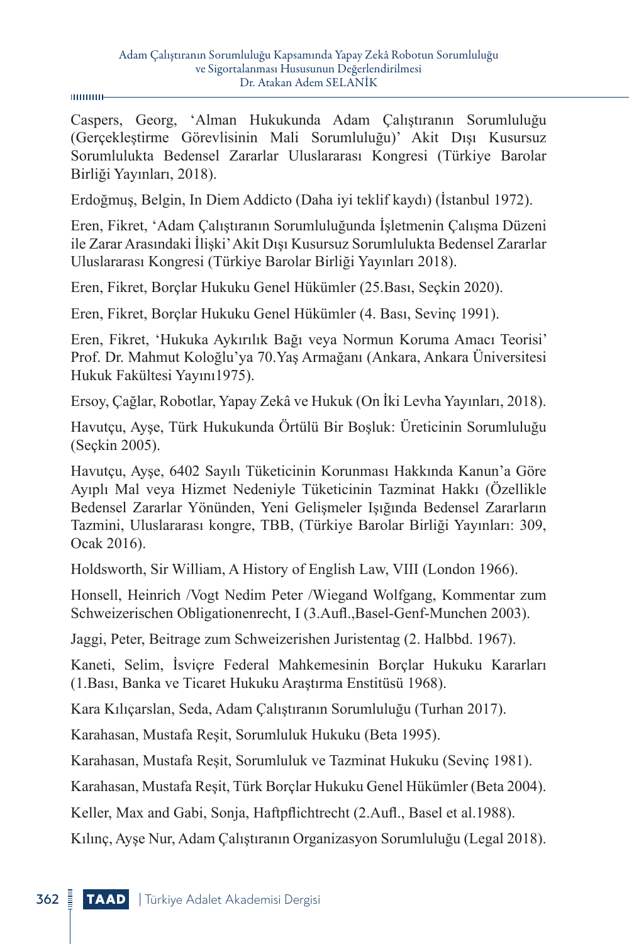Caspers, Georg, 'Alman Hukukunda Adam Çalıştıranın Sorumluluğu (Gerçekleştirme Görevlisinin Mali Sorumluluğu)' Akit Dışı Kusursuz Sorumlulukta Bedensel Zararlar Uluslararası Kongresi (Türkiye Barolar Birliği Yayınları, 2018).

Erdoğmuş, Belgin, In Diem Addicto (Daha iyi teklif kaydı) (İstanbul 1972).

Eren, Fikret, 'Adam Çalıştıranın Sorumluluğunda İşletmenin Çalışma Düzeni ile Zarar Arasındaki İlişki' Akit Dışı Kusursuz Sorumlulukta Bedensel Zararlar Uluslararası Kongresi (Türkiye Barolar Birliği Yayınları 2018).

Eren, Fikret, Borçlar Hukuku Genel Hükümler (25.Bası, Seçkin 2020).

Eren, Fikret, Borçlar Hukuku Genel Hükümler (4. Bası, Sevinç 1991).

Eren, Fikret, 'Hukuka Aykırılık Bağı veya Normun Koruma Amacı Teorisi' Prof. Dr. Mahmut Koloğlu'ya 70.Yaş Armağanı (Ankara, Ankara Üniversitesi Hukuk Fakültesi Yayını1975).

Ersoy, Çağlar, Robotlar, Yapay Zekâ ve Hukuk (On İki Levha Yayınları, 2018).

Havutçu, Ayşe, Türk Hukukunda Örtülü Bir Boşluk: Üreticinin Sorumluluğu (Seçkin 2005).

Havutçu, Ayşe, 6402 Sayılı Tüketicinin Korunması Hakkında Kanun'a Göre Ayıplı Mal veya Hizmet Nedeniyle Tüketicinin Tazminat Hakkı (Özellikle Bedensel Zararlar Yönünden, Yeni Gelişmeler Işığında Bedensel Zararların Tazmini, Uluslararası kongre, TBB, (Türkiye Barolar Birliği Yayınları: 309, Ocak 2016).

Holdsworth, Sir William, A History of English Law, VIII (London 1966).

Honsell, Heinrich /Vogt Nedim Peter /Wiegand Wolfgang, Kommentar zum Schweizerischen Obligationenrecht, I (3.Aufl.,Basel-Genf-Munchen 2003).

Jaggi, Peter, Beitrage zum Schweizerishen Juristentag (2. Halbbd. 1967).

Kaneti, Selim, İsviçre Federal Mahkemesinin Borçlar Hukuku Kararları (1.Bası, Banka ve Ticaret Hukuku Araştırma Enstitüsü 1968).

Kara Kılıçarslan, Seda, Adam Çalıştıranın Sorumluluğu (Turhan 2017).

Karahasan, Mustafa Reşit, Sorumluluk Hukuku (Beta 1995).

Karahasan, Mustafa Reşit, Sorumluluk ve Tazminat Hukuku (Sevinç 1981).

Karahasan, Mustafa Reşit, Türk Borçlar Hukuku Genel Hükümler (Beta 2004).

Keller, Max and Gabi, Sonja, Haftpflichtrecht (2.Aufl., Basel et al.1988).

Kılınç, Ayşe Nur, Adam Çalıştıranın Organizasyon Sorumluluğu (Legal 2018).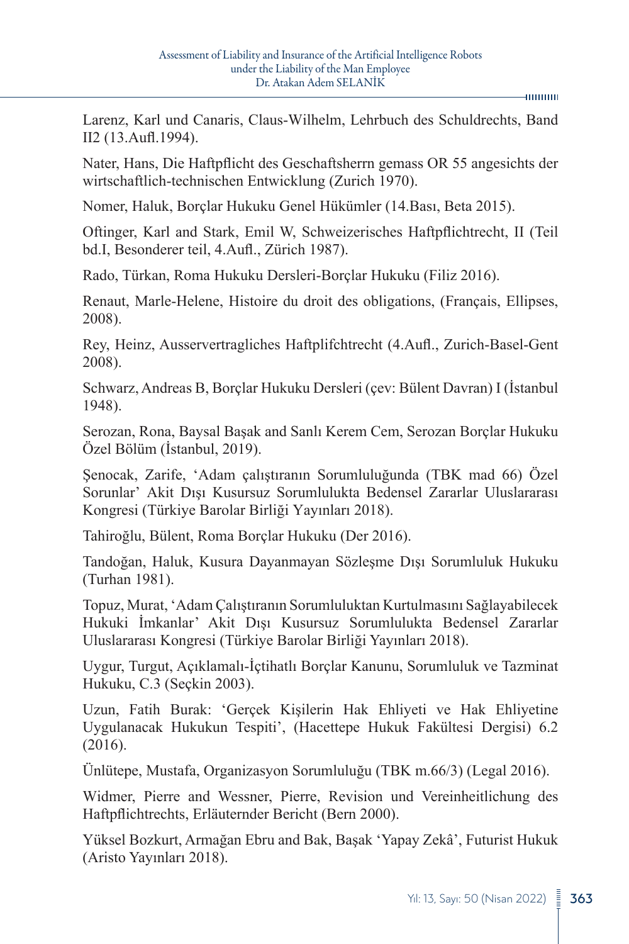#### 4000000

Larenz, Karl und Canaris, Claus-Wilhelm, Lehrbuch des Schuldrechts, Band II2 (13.Aufl.1994).

Nater, Hans, Die Haftpflicht des Geschaftsherrn gemass OR 55 angesichts der wirtschaftlich-technischen Entwicklung (Zurich 1970).

Nomer, Haluk, Borçlar Hukuku Genel Hükümler (14.Bası, Beta 2015).

Oftinger, Karl and Stark, Emil W, Schweizerisches Haftpflichtrecht, II (Teil bd.I, Besonderer teil, 4.Aufl., Zürich 1987).

Rado, Türkan, Roma Hukuku Dersleri-Borçlar Hukuku (Filiz 2016).

Renaut, Marle-Helene, Histoire du droit des obligations, (Français, Ellipses, 2008).

Rey, Heinz, Ausservertragliches Haftplifchtrecht (4.Aufl., Zurich-Basel-Gent 2008).

Schwarz, Andreas B, Borçlar Hukuku Dersleri (çev: Bülent Davran) I (İstanbul 1948).

Serozan, Rona, Baysal Başak and Sanlı Kerem Cem, Serozan Borçlar Hukuku Özel Bölüm (İstanbul, 2019).

Şenocak, Zarife, 'Adam çalıştıranın Sorumluluğunda (TBK mad 66) Özel Sorunlar' Akit Dışı Kusursuz Sorumlulukta Bedensel Zararlar Uluslararası Kongresi (Türkiye Barolar Birliği Yayınları 2018).

Tahiroğlu, Bülent, Roma Borçlar Hukuku (Der 2016).

Tandoğan, Haluk, Kusura Dayanmayan Sözleşme Dışı Sorumluluk Hukuku (Turhan 1981).

Topuz, Murat, 'Adam Çalıştıranın Sorumluluktan Kurtulmasını Sağlayabilecek Hukuki İmkanlar' Akit Dışı Kusursuz Sorumlulukta Bedensel Zararlar Uluslararası Kongresi (Türkiye Barolar Birliği Yayınları 2018).

Uygur, Turgut, Açıklamalı-İçtihatlı Borçlar Kanunu, Sorumluluk ve Tazminat Hukuku, C.3 (Seçkin 2003).

Uzun, Fatih Burak: 'Gerçek Kişilerin Hak Ehliyeti ve Hak Ehliyetine Uygulanacak Hukukun Tespiti', (Hacettepe Hukuk Fakültesi Dergisi) 6.2 (2016).

Ünlütepe, Mustafa, Organizasyon Sorumluluğu (TBK m.66/3) (Legal 2016).

Widmer, Pierre and Wessner, Pierre, Revision und Vereinheitlichung des Haftpflichtrechts, Erläuternder Bericht (Bern 2000).

Yüksel Bozkurt, Armağan Ebru and Bak, Başak 'Yapay Zekâ', Futurist Hukuk (Aristo Yayınları 2018).